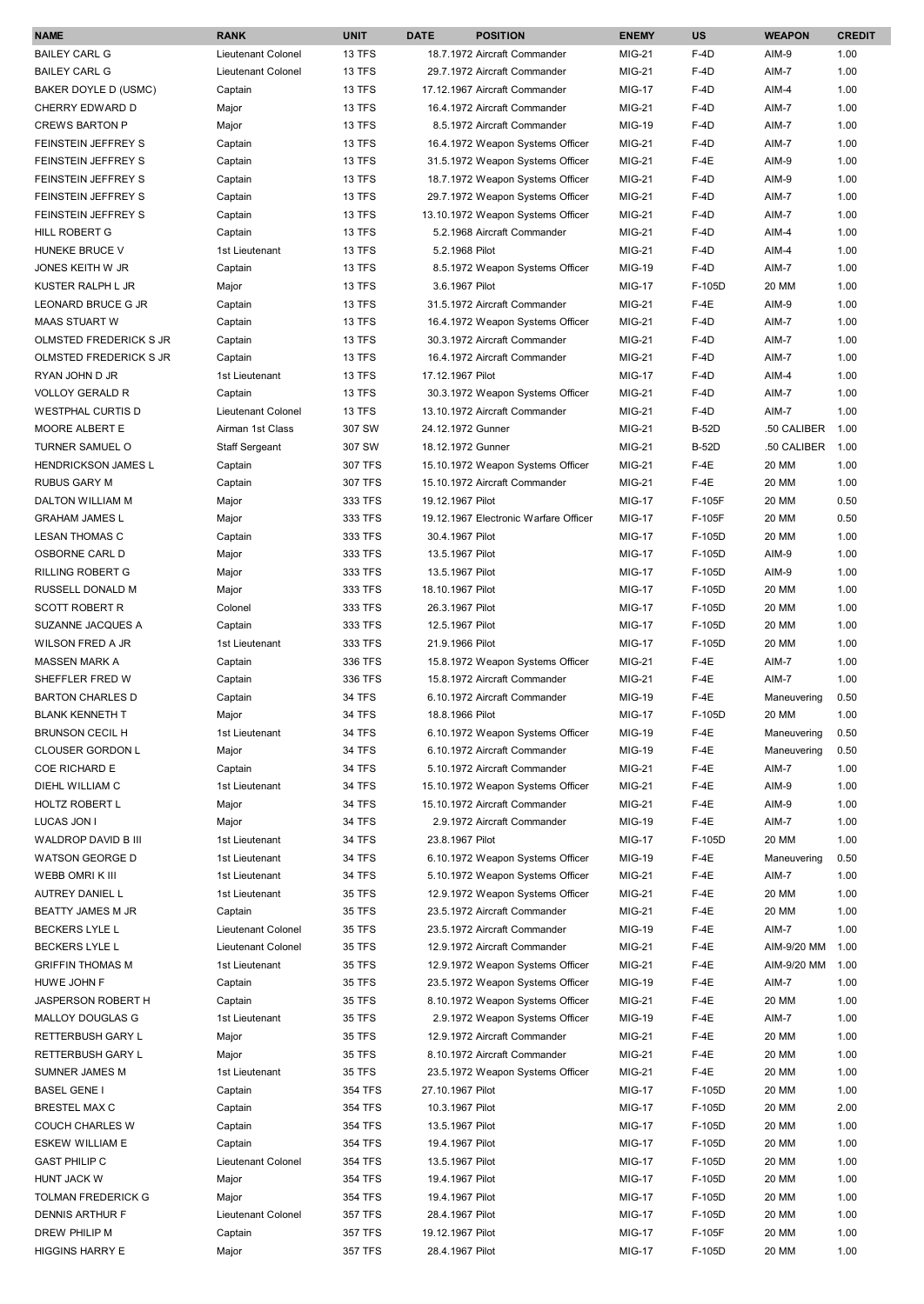| <b>BAILEY CARL G</b><br>Lieutenant Colonel<br><b>13 TFS</b><br>18.7.1972 Aircraft Commander<br><b>MIG-21</b><br>$F-4D$<br>1.00<br>AIM-9<br><b>BAILEY CARL G</b><br>Lieutenant Colonel<br>13 TFS<br><b>MIG-21</b><br>$F-4D$<br>AIM-7<br>1.00<br>29.7.1972 Aircraft Commander<br>13 TFS<br><b>MIG-17</b><br>$F-4D$<br>AIM-4<br>1.00<br>BAKER DOYLE D (USMC)<br>Captain<br>17.12.1967 Aircraft Commander<br>1.00<br>CHERRY EDWARD D<br>Major<br><b>13 TFS</b><br>16.4.1972 Aircraft Commander<br><b>MIG-21</b><br>$F-4D$<br>AIM-7<br><b>CREWS BARTON P</b><br>13 TFS<br><b>MIG-19</b><br>1.00<br>Major<br>8.5.1972 Aircraft Commander<br>$F-4D$<br>AIM-7<br>13 TFS<br><b>MIG-21</b><br>$F-4D$<br>AIM-7<br>1.00<br>FEINSTEIN JEFFREY S<br>Captain<br>16.4.1972 Weapon Systems Officer<br>13 TFS<br>$F-4E$<br>AIM-9<br>1.00<br>FEINSTEIN JEFFREY S<br>Captain<br>31.5.1972 Weapon Systems Officer<br>MIG-21<br>13 TFS<br>AIM-9<br>1.00<br>FEINSTEIN JEFFREY S<br>Captain<br>18.7.1972 Weapon Systems Officer<br>MIG-21<br>$F-4D$<br>13 TFS<br>$F-4D$<br>1.00<br>FEINSTEIN JEFFREY S<br>Captain<br>29.7.1972 Weapon Systems Officer<br>MIG-21<br>AIM-7<br>13 TFS<br>$F-4D$<br>AIM-7<br>1.00<br>FEINSTEIN JEFFREY S<br>Captain<br>13.10.1972 Weapon Systems Officer<br><b>MIG-21</b><br>13 TFS<br>$F-4D$<br>AIM-4<br>1.00<br><b>HILL ROBERT G</b><br>Captain<br>5.2.1968 Aircraft Commander<br><b>MIG-21</b><br>HUNEKE BRUCE V<br>13 TFS<br>5.2.1968 Pilot<br><b>MIG-21</b><br>$F-4D$<br>AIM-4<br>1.00<br>1st Lieutenant<br>13 TFS<br><b>MIG-19</b><br>$F-4D$<br>1.00<br>JONES KEITH W JR<br>Captain<br>8.5.1972 Weapon Systems Officer<br>AIM-7<br><b>MIG-17</b><br>1.00<br>KUSTER RALPH L JR<br>Major<br><b>13 TFS</b><br>3.6.1967 Pilot<br>F-105D<br>20 MM<br>13 TFS<br>31.5.1972 Aircraft Commander<br><b>MIG-21</b><br>$F-4E$<br>1.00<br>LEONARD BRUCE G JR<br>Captain<br>AIM-9<br><b>MIG-21</b><br>$F-4D$<br>1.00<br><b>MAAS STUART W</b><br>Captain<br><b>13 TFS</b><br>16.4.1972 Weapon Systems Officer<br>AIM-7<br><b>MIG-21</b><br>1.00<br>OLMSTED FREDERICK S JR<br>Captain<br>13 TFS<br>30.3.1972 Aircraft Commander<br>$F-4D$<br>AIM-7<br>OLMSTED FREDERICK S JR<br>13 TFS<br><b>MIG-21</b><br>$F-4D$<br>AIM-7<br>1.00<br>Captain<br>16.4.1972 Aircraft Commander<br>1.00<br>RYAN JOHN D JR<br>1st Lieutenant<br><b>13 TFS</b><br>17.12.1967 Pilot<br><b>MIG-17</b><br>$F-4D$<br>AIM-4<br>1.00<br><b>VOLLOY GERALD R</b><br>Captain<br><b>13 TFS</b><br>30.3.1972 Weapon Systems Officer<br><b>MIG-21</b><br>$F-4D$<br>AIM-7<br><b>WESTPHAL CURTIS D</b><br>Lieutenant Colonel<br>1.00<br><b>13 TFS</b><br>13.10.1972 Aircraft Commander<br><b>MIG-21</b><br>$F-4D$<br>AIM-7<br>24.12.1972 Gunner<br><b>MIG-21</b><br><b>B-52D</b><br>.50 CALIBER<br>1.00<br><b>MOORE ALBERT E</b><br>Airman 1st Class<br>307 SW<br><b>MIG-21</b><br>1.00<br>TURNER SAMUEL O<br><b>Staff Sergeant</b><br>307 SW<br>18.12.1972 Gunner<br><b>B-52D</b><br>.50 CALIBER<br>307 TFS<br>$F-4E$<br>20 MM<br>1.00<br><b>HENDRICKSON JAMES L</b><br>15.10.1972 Weapon Systems Officer<br>MIG-21<br>Captain<br>307 TFS<br><b>MIG-21</b><br>$F-4E$<br>20 MM<br>1.00<br><b>RUBUS GARY M</b><br>Captain<br>15.10.1972 Aircraft Commander<br>0.50<br>DALTON WILLIAM M<br>Major<br>333 TFS<br>19.12.1967 Pilot<br><b>MIG-17</b><br>F-105F<br>20 MM<br>333 TFS<br><b>MIG-17</b><br>F-105F<br>0.50<br><b>GRAHAM JAMES L</b><br>Major<br>19.12.1967 Electronic Warfare Officer<br>20 MM<br>333 TFS<br><b>MIG-17</b><br>F-105D<br>20 MM<br>1.00<br><b>LESAN THOMAS C</b><br>Captain<br>30.4.1967 Pilot<br>OSBORNE CARL D<br>333 TFS<br><b>MIG-17</b><br>F-105D<br>AIM-9<br>1.00<br>Major<br>13.5.1967 Pilot<br>333 TFS<br><b>MIG-17</b><br>F-105D<br>AIM-9<br>1.00<br><b>RILLING ROBERT G</b><br>Major<br>13.5.1967 Pilot<br>333 TFS<br><b>MIG-17</b><br>F-105D<br>20 MM<br>1.00<br>RUSSELL DONALD M<br>Major<br>18.10.1967 Pilot<br>333 TFS<br><b>MIG-17</b><br>F-105D<br>20 MM<br>1.00<br><b>SCOTT ROBERT R</b><br>Colonel<br>26.3.1967 Pilot<br>20 MM<br>1.00<br>SUZANNE JACQUES A<br>Captain<br>333 TFS<br>12.5.1967 Pilot<br><b>MIG-17</b><br>F-105D<br>333 TFS<br>F-105D<br>20 MM<br>1.00<br><b>WILSON FRED A JR</b><br>1st Lieutenant<br>21.9.1966 Pilot<br><b>MIG-17</b><br>336 TFS<br>1.00<br><b>MASSEN MARK A</b><br>15.8.1972 Weapon Systems Officer<br><b>MIG-21</b><br>$F-4E$<br>AIM-7<br>Captain<br>1.00<br>SHEFFLER FRED W<br>Captain<br>336 TFS<br>15.8.1972 Aircraft Commander<br>MIG-21<br>$F-4E$<br>AIM-7<br><b>BARTON CHARLES D</b><br>34 TFS<br>6.10.1972 Aircraft Commander<br>MIG-19<br>$F-4E$<br>0.50<br>Captain<br>Maneuvering<br>34 TFS<br><b>BLANK KENNETH T</b><br>18.8.1966 Pilot<br><b>MIG-17</b><br>F-105D<br>20 MM<br>1.00<br>Major<br>34 TFS<br>MIG-19<br><b>BRUNSON CECIL H</b><br>1st Lieutenant<br>6.10.1972 Weapon Systems Officer<br>$F-4E$<br>Maneuvering<br>0.50<br>34 TFS<br>MIG-19<br>$F-4E$<br>0.50<br><b>CLOUSER GORDON L</b><br>Major<br>6.10.1972 Aircraft Commander<br>Maneuvering<br>34 TFS<br>$F-4E$<br>1.00<br><b>COE RICHARD E</b><br>Captain<br>5.10.1972 Aircraft Commander<br>MIG-21<br>AIM-7<br>DIEHL WILLIAM C<br>1st Lieutenant<br>34 TFS<br>15.10.1972 Weapon Systems Officer<br><b>MIG-21</b><br>$F-4E$<br>AIM-9<br>1.00<br>34 TFS<br>$F-4E$<br>1.00<br>HOLTZ ROBERT L<br>Major<br>15.10.1972 Aircraft Commander<br>MIG-21<br>AIM-9<br>34 TFS<br><b>MIG-19</b><br>$F-4E$<br>AIM-7<br>1.00<br>LUCAS JON I<br>Major<br>2.9.1972 Aircraft Commander<br>20 MM<br>1.00<br>WALDROP DAVID B III<br>1st Lieutenant<br>34 TFS<br>23.8.1967 Pilot<br><b>MIG-17</b><br>F-105D<br>34 TFS<br>$F-4E$<br>0.50<br><b>WATSON GEORGE D</b><br>6.10.1972 Weapon Systems Officer<br><b>MIG-19</b><br>Maneuvering<br>1st Lieutenant<br><b>34 TFS</b><br>$F-4E$<br>AIM-7<br>1.00<br>WEBB OMRIK III<br>1st Lieutenant<br>5.10.1972 Weapon Systems Officer<br>MIG-21<br>$F-4E$<br>AUTREY DANIEL L<br>1st Lieutenant<br>35 TFS<br>12.9.1972 Weapon Systems Officer<br><b>MIG-21</b><br>20 MM<br>1.00<br><b>35 TFS</b><br>$F-4E$<br>1.00<br>BEATTY JAMES M JR<br>23.5.1972 Aircraft Commander<br>MIG-21<br>20 MM<br>Captain<br><b>BECKERS LYLE L</b><br>Lieutenant Colonel<br><b>35 TFS</b><br>MIG-19<br>$F-4E$<br>AIM-7<br>1.00<br>23.5.1972 Aircraft Commander<br><b>BECKERS LYLE L</b><br>Lieutenant Colonel<br><b>35 TFS</b><br>12.9.1972 Aircraft Commander<br><b>MIG-21</b><br>$F-4E$<br>AIM-9/20 MM<br>1.00<br><b>35 TFS</b><br>$F-4E$<br>AIM-9/20 MM<br>1.00<br><b>GRIFFIN THOMAS M</b><br>1st Lieutenant<br>12.9.1972 Weapon Systems Officer<br><b>MIG-21</b><br><b>35 TFS</b><br>23.5.1972 Weapon Systems Officer<br>$F-4E$<br>AIM-7<br>1.00<br>HUWE JOHN F<br>Captain<br>MIG-19<br>$F-4E$<br>20 MM<br>1.00<br>JASPERSON ROBERT H<br>Captain<br>35 TFS<br>8.10.1972 Weapon Systems Officer<br><b>MIG-21</b><br><b>35 TFS</b><br>1.00<br>MALLOY DOUGLAS G<br>1st Lieutenant<br>2.9.1972 Weapon Systems Officer<br><b>MIG-19</b><br>$F-4E$<br>AIM-7<br><b>35 TFS</b><br>20 MM<br>1.00<br>RETTERBUSH GARY L<br>Major<br>12.9.1972 Aircraft Commander<br><b>MIG-21</b><br>$F-4E$<br>8.10.1972 Aircraft Commander<br>$F-4E$<br>20 MM<br>1.00<br>RETTERBUSH GARY L<br>Major<br>35 TFS<br><b>MIG-21</b><br>SUMNER JAMES M<br>1st Lieutenant<br>35 TFS<br>23.5.1972 Weapon Systems Officer<br><b>MIG-21</b><br>$F-4E$<br>20 MM<br>1.00<br>20 MM<br>1.00<br><b>BASEL GENE I</b><br>354 TFS<br>27.10.1967 Pilot<br><b>MIG-17</b><br>F-105D<br>Captain<br>2.00<br><b>BRESTEL MAX C</b><br>Captain<br>354 TFS<br>10.3.1967 Pilot<br><b>MIG-17</b><br>F-105D<br>20 MM<br><b>MIG-17</b><br>F-105D<br>1.00<br><b>COUCH CHARLES W</b><br>Captain<br>354 TFS<br>13.5.1967 Pilot<br>20 MM<br>354 TFS<br><b>MIG-17</b><br>F-105D<br>20 MM<br>1.00<br><b>ESKEW WILLIAM E</b><br>Captain<br>19.4.1967 Pilot<br>354 TFS<br><b>MIG-17</b><br>F-105D<br>20 MM<br>1.00<br><b>GAST PHILIP C</b><br>Lieutenant Colonel<br>13.5.1967 Pilot<br>HUNT JACK W<br>Major<br>354 TFS<br>19.4.1967 Pilot<br><b>MIG-17</b><br>F-105D<br>20 MM<br>1.00<br>354 TFS<br><b>MIG-17</b><br>F-105D<br>20 MM<br>1.00<br>TOLMAN FREDERICK G<br>Major<br>19.4.1967 Pilot<br>Lieutenant Colonel<br>1.00<br>DENNIS ARTHUR F<br>357 TFS<br>28.4.1967 Pilot<br><b>MIG-17</b><br>F-105D<br>20 MM<br>F-105F<br>DREW PHILIP M<br>Captain<br>357 TFS<br>19.12.1967 Pilot<br><b>MIG-17</b><br>20 MM<br>1.00<br>357 TFS<br><b>MIG-17</b><br>F-105D<br>20 MM<br>1.00<br><b>HIGGINS HARRY E</b><br>Major<br>28.4.1967 Pilot | <b>NAME</b> | <b>RANK</b> | <b>UNIT</b> | <b>DATE</b> | <b>POSITION</b> | <b>ENEMY</b> | <b>US</b> | <b>WEAPON</b> | <b>CREDIT</b> |
|--------------------------------------------------------------------------------------------------------------------------------------------------------------------------------------------------------------------------------------------------------------------------------------------------------------------------------------------------------------------------------------------------------------------------------------------------------------------------------------------------------------------------------------------------------------------------------------------------------------------------------------------------------------------------------------------------------------------------------------------------------------------------------------------------------------------------------------------------------------------------------------------------------------------------------------------------------------------------------------------------------------------------------------------------------------------------------------------------------------------------------------------------------------------------------------------------------------------------------------------------------------------------------------------------------------------------------------------------------------------------------------------------------------------------------------------------------------------------------------------------------------------------------------------------------------------------------------------------------------------------------------------------------------------------------------------------------------------------------------------------------------------------------------------------------------------------------------------------------------------------------------------------------------------------------------------------------------------------------------------------------------------------------------------------------------------------------------------------------------------------------------------------------------------------------------------------------------------------------------------------------------------------------------------------------------------------------------------------------------------------------------------------------------------------------------------------------------------------------------------------------------------------------------------------------------------------------------------------------------------------------------------------------------------------------------------------------------------------------------------------------------------------------------------------------------------------------------------------------------------------------------------------------------------------------------------------------------------------------------------------------------------------------------------------------------------------------------------------------------------------------------------------------------------------------------------------------------------------------------------------------------------------------------------------------------------------------------------------------------------------------------------------------------------------------------------------------------------------------------------------------------------------------------------------------------------------------------------------------------------------------------------------------------------------------------------------------------------------------------------------------------------------------------------------------------------------------------------------------------------------------------------------------------------------------------------------------------------------------------------------------------------------------------------------------------------------------------------------------------------------------------------------------------------------------------------------------------------------------------------------------------------------------------------------------------------------------------------------------------------------------------------------------------------------------------------------------------------------------------------------------------------------------------------------------------------------------------------------------------------------------------------------------------------------------------------------------------------------------------------------------------------------------------------------------------------------------------------------------------------------------------------------------------------------------------------------------------------------------------------------------------------------------------------------------------------------------------------------------------------------------------------------------------------------------------------------------------------------------------------------------------------------------------------------------------------------------------------------------------------------------------------------------------------------------------------------------------------------------------------------------------------------------------------------------------------------------------------------------------------------------------------------------------------------------------------------------------------------------------------------------------------------------------------------------------------------------------------------------------------------------------------------------------------------------------------------------------------------------------------------------------------------------------------------------------------------------------------------------------------------------------------------------------------------------------------------------------------------------------------------------------------------------------------------------------------------------------------------------------------------------------------------------------------------------------------------------------------------------------------------------------------------------------------------------------------------------------------------------------------------------------------------------------------------------------------------------------------------------------------------------------------------------------------------------------------------------------------------------------------------------------------------------------------------------------------------------------------------------------------------------------------------------------------------------------------------------------------------------------------------------------------------------------------------------------------------------------------------------------------------------------------------------------------------------------------------------------------------------------------------------------------------------------------------------------------------------------------------------------------------------------------------------------------------------------------------------------------------------------------------------------------------------------------------------------------------------------------------------------------------------------------------------------------------------------------------------------------------------------------------------------------------------------------------------------------------------------------------------------------------------------------------------------------------------------------------------------------------------------------------------------------------------------------------------------------------------------------------------------------------------------------------------------------------------------------------------------------------------------------------------------------------------------------------------------------------------------------------------|-------------|-------------|-------------|-------------|-----------------|--------------|-----------|---------------|---------------|
|                                                                                                                                                                                                                                                                                                                                                                                                                                                                                                                                                                                                                                                                                                                                                                                                                                                                                                                                                                                                                                                                                                                                                                                                                                                                                                                                                                                                                                                                                                                                                                                                                                                                                                                                                                                                                                                                                                                                                                                                                                                                                                                                                                                                                                                                                                                                                                                                                                                                                                                                                                                                                                                                                                                                                                                                                                                                                                                                                                                                                                                                                                                                                                                                                                                                                                                                                                                                                                                                                                                                                                                                                                                                                                                                                                                                                                                                                                                                                                                                                                                                                                                                                                                                                                                                                                                                                                                                                                                                                                                                                                                                                                                                                                                                                                                                                                                                                                                                                                                                                                                                                                                                                                                                                                                                                                                                                                                                                                                                                                                                                                                                                                                                                                                                                                                                                                                                                                                                                                                                                                                                                                                                                                                                                                                                                                                                                                                                                                                                                                                                                                                                                                                                                                                                                                                                                                                                                                                                                                                                                                                                                                                                                                                                                                                                                                                                                                                                                                                                                                                                                                                                                                                                                                                                                                                                                                                                                                                                                                                                                                                                                                                                                                                                                                                                                                                                                                                                                                                                                |             |             |             |             |                 |              |           |               |               |
|                                                                                                                                                                                                                                                                                                                                                                                                                                                                                                                                                                                                                                                                                                                                                                                                                                                                                                                                                                                                                                                                                                                                                                                                                                                                                                                                                                                                                                                                                                                                                                                                                                                                                                                                                                                                                                                                                                                                                                                                                                                                                                                                                                                                                                                                                                                                                                                                                                                                                                                                                                                                                                                                                                                                                                                                                                                                                                                                                                                                                                                                                                                                                                                                                                                                                                                                                                                                                                                                                                                                                                                                                                                                                                                                                                                                                                                                                                                                                                                                                                                                                                                                                                                                                                                                                                                                                                                                                                                                                                                                                                                                                                                                                                                                                                                                                                                                                                                                                                                                                                                                                                                                                                                                                                                                                                                                                                                                                                                                                                                                                                                                                                                                                                                                                                                                                                                                                                                                                                                                                                                                                                                                                                                                                                                                                                                                                                                                                                                                                                                                                                                                                                                                                                                                                                                                                                                                                                                                                                                                                                                                                                                                                                                                                                                                                                                                                                                                                                                                                                                                                                                                                                                                                                                                                                                                                                                                                                                                                                                                                                                                                                                                                                                                                                                                                                                                                                                                                                                                                |             |             |             |             |                 |              |           |               |               |
|                                                                                                                                                                                                                                                                                                                                                                                                                                                                                                                                                                                                                                                                                                                                                                                                                                                                                                                                                                                                                                                                                                                                                                                                                                                                                                                                                                                                                                                                                                                                                                                                                                                                                                                                                                                                                                                                                                                                                                                                                                                                                                                                                                                                                                                                                                                                                                                                                                                                                                                                                                                                                                                                                                                                                                                                                                                                                                                                                                                                                                                                                                                                                                                                                                                                                                                                                                                                                                                                                                                                                                                                                                                                                                                                                                                                                                                                                                                                                                                                                                                                                                                                                                                                                                                                                                                                                                                                                                                                                                                                                                                                                                                                                                                                                                                                                                                                                                                                                                                                                                                                                                                                                                                                                                                                                                                                                                                                                                                                                                                                                                                                                                                                                                                                                                                                                                                                                                                                                                                                                                                                                                                                                                                                                                                                                                                                                                                                                                                                                                                                                                                                                                                                                                                                                                                                                                                                                                                                                                                                                                                                                                                                                                                                                                                                                                                                                                                                                                                                                                                                                                                                                                                                                                                                                                                                                                                                                                                                                                                                                                                                                                                                                                                                                                                                                                                                                                                                                                                                                |             |             |             |             |                 |              |           |               |               |
|                                                                                                                                                                                                                                                                                                                                                                                                                                                                                                                                                                                                                                                                                                                                                                                                                                                                                                                                                                                                                                                                                                                                                                                                                                                                                                                                                                                                                                                                                                                                                                                                                                                                                                                                                                                                                                                                                                                                                                                                                                                                                                                                                                                                                                                                                                                                                                                                                                                                                                                                                                                                                                                                                                                                                                                                                                                                                                                                                                                                                                                                                                                                                                                                                                                                                                                                                                                                                                                                                                                                                                                                                                                                                                                                                                                                                                                                                                                                                                                                                                                                                                                                                                                                                                                                                                                                                                                                                                                                                                                                                                                                                                                                                                                                                                                                                                                                                                                                                                                                                                                                                                                                                                                                                                                                                                                                                                                                                                                                                                                                                                                                                                                                                                                                                                                                                                                                                                                                                                                                                                                                                                                                                                                                                                                                                                                                                                                                                                                                                                                                                                                                                                                                                                                                                                                                                                                                                                                                                                                                                                                                                                                                                                                                                                                                                                                                                                                                                                                                                                                                                                                                                                                                                                                                                                                                                                                                                                                                                                                                                                                                                                                                                                                                                                                                                                                                                                                                                                                                                |             |             |             |             |                 |              |           |               |               |
|                                                                                                                                                                                                                                                                                                                                                                                                                                                                                                                                                                                                                                                                                                                                                                                                                                                                                                                                                                                                                                                                                                                                                                                                                                                                                                                                                                                                                                                                                                                                                                                                                                                                                                                                                                                                                                                                                                                                                                                                                                                                                                                                                                                                                                                                                                                                                                                                                                                                                                                                                                                                                                                                                                                                                                                                                                                                                                                                                                                                                                                                                                                                                                                                                                                                                                                                                                                                                                                                                                                                                                                                                                                                                                                                                                                                                                                                                                                                                                                                                                                                                                                                                                                                                                                                                                                                                                                                                                                                                                                                                                                                                                                                                                                                                                                                                                                                                                                                                                                                                                                                                                                                                                                                                                                                                                                                                                                                                                                                                                                                                                                                                                                                                                                                                                                                                                                                                                                                                                                                                                                                                                                                                                                                                                                                                                                                                                                                                                                                                                                                                                                                                                                                                                                                                                                                                                                                                                                                                                                                                                                                                                                                                                                                                                                                                                                                                                                                                                                                                                                                                                                                                                                                                                                                                                                                                                                                                                                                                                                                                                                                                                                                                                                                                                                                                                                                                                                                                                                                                |             |             |             |             |                 |              |           |               |               |
|                                                                                                                                                                                                                                                                                                                                                                                                                                                                                                                                                                                                                                                                                                                                                                                                                                                                                                                                                                                                                                                                                                                                                                                                                                                                                                                                                                                                                                                                                                                                                                                                                                                                                                                                                                                                                                                                                                                                                                                                                                                                                                                                                                                                                                                                                                                                                                                                                                                                                                                                                                                                                                                                                                                                                                                                                                                                                                                                                                                                                                                                                                                                                                                                                                                                                                                                                                                                                                                                                                                                                                                                                                                                                                                                                                                                                                                                                                                                                                                                                                                                                                                                                                                                                                                                                                                                                                                                                                                                                                                                                                                                                                                                                                                                                                                                                                                                                                                                                                                                                                                                                                                                                                                                                                                                                                                                                                                                                                                                                                                                                                                                                                                                                                                                                                                                                                                                                                                                                                                                                                                                                                                                                                                                                                                                                                                                                                                                                                                                                                                                                                                                                                                                                                                                                                                                                                                                                                                                                                                                                                                                                                                                                                                                                                                                                                                                                                                                                                                                                                                                                                                                                                                                                                                                                                                                                                                                                                                                                                                                                                                                                                                                                                                                                                                                                                                                                                                                                                                                                |             |             |             |             |                 |              |           |               |               |
|                                                                                                                                                                                                                                                                                                                                                                                                                                                                                                                                                                                                                                                                                                                                                                                                                                                                                                                                                                                                                                                                                                                                                                                                                                                                                                                                                                                                                                                                                                                                                                                                                                                                                                                                                                                                                                                                                                                                                                                                                                                                                                                                                                                                                                                                                                                                                                                                                                                                                                                                                                                                                                                                                                                                                                                                                                                                                                                                                                                                                                                                                                                                                                                                                                                                                                                                                                                                                                                                                                                                                                                                                                                                                                                                                                                                                                                                                                                                                                                                                                                                                                                                                                                                                                                                                                                                                                                                                                                                                                                                                                                                                                                                                                                                                                                                                                                                                                                                                                                                                                                                                                                                                                                                                                                                                                                                                                                                                                                                                                                                                                                                                                                                                                                                                                                                                                                                                                                                                                                                                                                                                                                                                                                                                                                                                                                                                                                                                                                                                                                                                                                                                                                                                                                                                                                                                                                                                                                                                                                                                                                                                                                                                                                                                                                                                                                                                                                                                                                                                                                                                                                                                                                                                                                                                                                                                                                                                                                                                                                                                                                                                                                                                                                                                                                                                                                                                                                                                                                                                |             |             |             |             |                 |              |           |               |               |
|                                                                                                                                                                                                                                                                                                                                                                                                                                                                                                                                                                                                                                                                                                                                                                                                                                                                                                                                                                                                                                                                                                                                                                                                                                                                                                                                                                                                                                                                                                                                                                                                                                                                                                                                                                                                                                                                                                                                                                                                                                                                                                                                                                                                                                                                                                                                                                                                                                                                                                                                                                                                                                                                                                                                                                                                                                                                                                                                                                                                                                                                                                                                                                                                                                                                                                                                                                                                                                                                                                                                                                                                                                                                                                                                                                                                                                                                                                                                                                                                                                                                                                                                                                                                                                                                                                                                                                                                                                                                                                                                                                                                                                                                                                                                                                                                                                                                                                                                                                                                                                                                                                                                                                                                                                                                                                                                                                                                                                                                                                                                                                                                                                                                                                                                                                                                                                                                                                                                                                                                                                                                                                                                                                                                                                                                                                                                                                                                                                                                                                                                                                                                                                                                                                                                                                                                                                                                                                                                                                                                                                                                                                                                                                                                                                                                                                                                                                                                                                                                                                                                                                                                                                                                                                                                                                                                                                                                                                                                                                                                                                                                                                                                                                                                                                                                                                                                                                                                                                                                                |             |             |             |             |                 |              |           |               |               |
|                                                                                                                                                                                                                                                                                                                                                                                                                                                                                                                                                                                                                                                                                                                                                                                                                                                                                                                                                                                                                                                                                                                                                                                                                                                                                                                                                                                                                                                                                                                                                                                                                                                                                                                                                                                                                                                                                                                                                                                                                                                                                                                                                                                                                                                                                                                                                                                                                                                                                                                                                                                                                                                                                                                                                                                                                                                                                                                                                                                                                                                                                                                                                                                                                                                                                                                                                                                                                                                                                                                                                                                                                                                                                                                                                                                                                                                                                                                                                                                                                                                                                                                                                                                                                                                                                                                                                                                                                                                                                                                                                                                                                                                                                                                                                                                                                                                                                                                                                                                                                                                                                                                                                                                                                                                                                                                                                                                                                                                                                                                                                                                                                                                                                                                                                                                                                                                                                                                                                                                                                                                                                                                                                                                                                                                                                                                                                                                                                                                                                                                                                                                                                                                                                                                                                                                                                                                                                                                                                                                                                                                                                                                                                                                                                                                                                                                                                                                                                                                                                                                                                                                                                                                                                                                                                                                                                                                                                                                                                                                                                                                                                                                                                                                                                                                                                                                                                                                                                                                                                |             |             |             |             |                 |              |           |               |               |
|                                                                                                                                                                                                                                                                                                                                                                                                                                                                                                                                                                                                                                                                                                                                                                                                                                                                                                                                                                                                                                                                                                                                                                                                                                                                                                                                                                                                                                                                                                                                                                                                                                                                                                                                                                                                                                                                                                                                                                                                                                                                                                                                                                                                                                                                                                                                                                                                                                                                                                                                                                                                                                                                                                                                                                                                                                                                                                                                                                                                                                                                                                                                                                                                                                                                                                                                                                                                                                                                                                                                                                                                                                                                                                                                                                                                                                                                                                                                                                                                                                                                                                                                                                                                                                                                                                                                                                                                                                                                                                                                                                                                                                                                                                                                                                                                                                                                                                                                                                                                                                                                                                                                                                                                                                                                                                                                                                                                                                                                                                                                                                                                                                                                                                                                                                                                                                                                                                                                                                                                                                                                                                                                                                                                                                                                                                                                                                                                                                                                                                                                                                                                                                                                                                                                                                                                                                                                                                                                                                                                                                                                                                                                                                                                                                                                                                                                                                                                                                                                                                                                                                                                                                                                                                                                                                                                                                                                                                                                                                                                                                                                                                                                                                                                                                                                                                                                                                                                                                                                                |             |             |             |             |                 |              |           |               |               |
|                                                                                                                                                                                                                                                                                                                                                                                                                                                                                                                                                                                                                                                                                                                                                                                                                                                                                                                                                                                                                                                                                                                                                                                                                                                                                                                                                                                                                                                                                                                                                                                                                                                                                                                                                                                                                                                                                                                                                                                                                                                                                                                                                                                                                                                                                                                                                                                                                                                                                                                                                                                                                                                                                                                                                                                                                                                                                                                                                                                                                                                                                                                                                                                                                                                                                                                                                                                                                                                                                                                                                                                                                                                                                                                                                                                                                                                                                                                                                                                                                                                                                                                                                                                                                                                                                                                                                                                                                                                                                                                                                                                                                                                                                                                                                                                                                                                                                                                                                                                                                                                                                                                                                                                                                                                                                                                                                                                                                                                                                                                                                                                                                                                                                                                                                                                                                                                                                                                                                                                                                                                                                                                                                                                                                                                                                                                                                                                                                                                                                                                                                                                                                                                                                                                                                                                                                                                                                                                                                                                                                                                                                                                                                                                                                                                                                                                                                                                                                                                                                                                                                                                                                                                                                                                                                                                                                                                                                                                                                                                                                                                                                                                                                                                                                                                                                                                                                                                                                                                                                |             |             |             |             |                 |              |           |               |               |
|                                                                                                                                                                                                                                                                                                                                                                                                                                                                                                                                                                                                                                                                                                                                                                                                                                                                                                                                                                                                                                                                                                                                                                                                                                                                                                                                                                                                                                                                                                                                                                                                                                                                                                                                                                                                                                                                                                                                                                                                                                                                                                                                                                                                                                                                                                                                                                                                                                                                                                                                                                                                                                                                                                                                                                                                                                                                                                                                                                                                                                                                                                                                                                                                                                                                                                                                                                                                                                                                                                                                                                                                                                                                                                                                                                                                                                                                                                                                                                                                                                                                                                                                                                                                                                                                                                                                                                                                                                                                                                                                                                                                                                                                                                                                                                                                                                                                                                                                                                                                                                                                                                                                                                                                                                                                                                                                                                                                                                                                                                                                                                                                                                                                                                                                                                                                                                                                                                                                                                                                                                                                                                                                                                                                                                                                                                                                                                                                                                                                                                                                                                                                                                                                                                                                                                                                                                                                                                                                                                                                                                                                                                                                                                                                                                                                                                                                                                                                                                                                                                                                                                                                                                                                                                                                                                                                                                                                                                                                                                                                                                                                                                                                                                                                                                                                                                                                                                                                                                                                                |             |             |             |             |                 |              |           |               |               |
|                                                                                                                                                                                                                                                                                                                                                                                                                                                                                                                                                                                                                                                                                                                                                                                                                                                                                                                                                                                                                                                                                                                                                                                                                                                                                                                                                                                                                                                                                                                                                                                                                                                                                                                                                                                                                                                                                                                                                                                                                                                                                                                                                                                                                                                                                                                                                                                                                                                                                                                                                                                                                                                                                                                                                                                                                                                                                                                                                                                                                                                                                                                                                                                                                                                                                                                                                                                                                                                                                                                                                                                                                                                                                                                                                                                                                                                                                                                                                                                                                                                                                                                                                                                                                                                                                                                                                                                                                                                                                                                                                                                                                                                                                                                                                                                                                                                                                                                                                                                                                                                                                                                                                                                                                                                                                                                                                                                                                                                                                                                                                                                                                                                                                                                                                                                                                                                                                                                                                                                                                                                                                                                                                                                                                                                                                                                                                                                                                                                                                                                                                                                                                                                                                                                                                                                                                                                                                                                                                                                                                                                                                                                                                                                                                                                                                                                                                                                                                                                                                                                                                                                                                                                                                                                                                                                                                                                                                                                                                                                                                                                                                                                                                                                                                                                                                                                                                                                                                                                                                |             |             |             |             |                 |              |           |               |               |
|                                                                                                                                                                                                                                                                                                                                                                                                                                                                                                                                                                                                                                                                                                                                                                                                                                                                                                                                                                                                                                                                                                                                                                                                                                                                                                                                                                                                                                                                                                                                                                                                                                                                                                                                                                                                                                                                                                                                                                                                                                                                                                                                                                                                                                                                                                                                                                                                                                                                                                                                                                                                                                                                                                                                                                                                                                                                                                                                                                                                                                                                                                                                                                                                                                                                                                                                                                                                                                                                                                                                                                                                                                                                                                                                                                                                                                                                                                                                                                                                                                                                                                                                                                                                                                                                                                                                                                                                                                                                                                                                                                                                                                                                                                                                                                                                                                                                                                                                                                                                                                                                                                                                                                                                                                                                                                                                                                                                                                                                                                                                                                                                                                                                                                                                                                                                                                                                                                                                                                                                                                                                                                                                                                                                                                                                                                                                                                                                                                                                                                                                                                                                                                                                                                                                                                                                                                                                                                                                                                                                                                                                                                                                                                                                                                                                                                                                                                                                                                                                                                                                                                                                                                                                                                                                                                                                                                                                                                                                                                                                                                                                                                                                                                                                                                                                                                                                                                                                                                                                                |             |             |             |             |                 |              |           |               |               |
|                                                                                                                                                                                                                                                                                                                                                                                                                                                                                                                                                                                                                                                                                                                                                                                                                                                                                                                                                                                                                                                                                                                                                                                                                                                                                                                                                                                                                                                                                                                                                                                                                                                                                                                                                                                                                                                                                                                                                                                                                                                                                                                                                                                                                                                                                                                                                                                                                                                                                                                                                                                                                                                                                                                                                                                                                                                                                                                                                                                                                                                                                                                                                                                                                                                                                                                                                                                                                                                                                                                                                                                                                                                                                                                                                                                                                                                                                                                                                                                                                                                                                                                                                                                                                                                                                                                                                                                                                                                                                                                                                                                                                                                                                                                                                                                                                                                                                                                                                                                                                                                                                                                                                                                                                                                                                                                                                                                                                                                                                                                                                                                                                                                                                                                                                                                                                                                                                                                                                                                                                                                                                                                                                                                                                                                                                                                                                                                                                                                                                                                                                                                                                                                                                                                                                                                                                                                                                                                                                                                                                                                                                                                                                                                                                                                                                                                                                                                                                                                                                                                                                                                                                                                                                                                                                                                                                                                                                                                                                                                                                                                                                                                                                                                                                                                                                                                                                                                                                                                                                |             |             |             |             |                 |              |           |               |               |
|                                                                                                                                                                                                                                                                                                                                                                                                                                                                                                                                                                                                                                                                                                                                                                                                                                                                                                                                                                                                                                                                                                                                                                                                                                                                                                                                                                                                                                                                                                                                                                                                                                                                                                                                                                                                                                                                                                                                                                                                                                                                                                                                                                                                                                                                                                                                                                                                                                                                                                                                                                                                                                                                                                                                                                                                                                                                                                                                                                                                                                                                                                                                                                                                                                                                                                                                                                                                                                                                                                                                                                                                                                                                                                                                                                                                                                                                                                                                                                                                                                                                                                                                                                                                                                                                                                                                                                                                                                                                                                                                                                                                                                                                                                                                                                                                                                                                                                                                                                                                                                                                                                                                                                                                                                                                                                                                                                                                                                                                                                                                                                                                                                                                                                                                                                                                                                                                                                                                                                                                                                                                                                                                                                                                                                                                                                                                                                                                                                                                                                                                                                                                                                                                                                                                                                                                                                                                                                                                                                                                                                                                                                                                                                                                                                                                                                                                                                                                                                                                                                                                                                                                                                                                                                                                                                                                                                                                                                                                                                                                                                                                                                                                                                                                                                                                                                                                                                                                                                                                                |             |             |             |             |                 |              |           |               |               |
|                                                                                                                                                                                                                                                                                                                                                                                                                                                                                                                                                                                                                                                                                                                                                                                                                                                                                                                                                                                                                                                                                                                                                                                                                                                                                                                                                                                                                                                                                                                                                                                                                                                                                                                                                                                                                                                                                                                                                                                                                                                                                                                                                                                                                                                                                                                                                                                                                                                                                                                                                                                                                                                                                                                                                                                                                                                                                                                                                                                                                                                                                                                                                                                                                                                                                                                                                                                                                                                                                                                                                                                                                                                                                                                                                                                                                                                                                                                                                                                                                                                                                                                                                                                                                                                                                                                                                                                                                                                                                                                                                                                                                                                                                                                                                                                                                                                                                                                                                                                                                                                                                                                                                                                                                                                                                                                                                                                                                                                                                                                                                                                                                                                                                                                                                                                                                                                                                                                                                                                                                                                                                                                                                                                                                                                                                                                                                                                                                                                                                                                                                                                                                                                                                                                                                                                                                                                                                                                                                                                                                                                                                                                                                                                                                                                                                                                                                                                                                                                                                                                                                                                                                                                                                                                                                                                                                                                                                                                                                                                                                                                                                                                                                                                                                                                                                                                                                                                                                                                                                |             |             |             |             |                 |              |           |               |               |
|                                                                                                                                                                                                                                                                                                                                                                                                                                                                                                                                                                                                                                                                                                                                                                                                                                                                                                                                                                                                                                                                                                                                                                                                                                                                                                                                                                                                                                                                                                                                                                                                                                                                                                                                                                                                                                                                                                                                                                                                                                                                                                                                                                                                                                                                                                                                                                                                                                                                                                                                                                                                                                                                                                                                                                                                                                                                                                                                                                                                                                                                                                                                                                                                                                                                                                                                                                                                                                                                                                                                                                                                                                                                                                                                                                                                                                                                                                                                                                                                                                                                                                                                                                                                                                                                                                                                                                                                                                                                                                                                                                                                                                                                                                                                                                                                                                                                                                                                                                                                                                                                                                                                                                                                                                                                                                                                                                                                                                                                                                                                                                                                                                                                                                                                                                                                                                                                                                                                                                                                                                                                                                                                                                                                                                                                                                                                                                                                                                                                                                                                                                                                                                                                                                                                                                                                                                                                                                                                                                                                                                                                                                                                                                                                                                                                                                                                                                                                                                                                                                                                                                                                                                                                                                                                                                                                                                                                                                                                                                                                                                                                                                                                                                                                                                                                                                                                                                                                                                                                                |             |             |             |             |                 |              |           |               |               |
|                                                                                                                                                                                                                                                                                                                                                                                                                                                                                                                                                                                                                                                                                                                                                                                                                                                                                                                                                                                                                                                                                                                                                                                                                                                                                                                                                                                                                                                                                                                                                                                                                                                                                                                                                                                                                                                                                                                                                                                                                                                                                                                                                                                                                                                                                                                                                                                                                                                                                                                                                                                                                                                                                                                                                                                                                                                                                                                                                                                                                                                                                                                                                                                                                                                                                                                                                                                                                                                                                                                                                                                                                                                                                                                                                                                                                                                                                                                                                                                                                                                                                                                                                                                                                                                                                                                                                                                                                                                                                                                                                                                                                                                                                                                                                                                                                                                                                                                                                                                                                                                                                                                                                                                                                                                                                                                                                                                                                                                                                                                                                                                                                                                                                                                                                                                                                                                                                                                                                                                                                                                                                                                                                                                                                                                                                                                                                                                                                                                                                                                                                                                                                                                                                                                                                                                                                                                                                                                                                                                                                                                                                                                                                                                                                                                                                                                                                                                                                                                                                                                                                                                                                                                                                                                                                                                                                                                                                                                                                                                                                                                                                                                                                                                                                                                                                                                                                                                                                                                                                |             |             |             |             |                 |              |           |               |               |
|                                                                                                                                                                                                                                                                                                                                                                                                                                                                                                                                                                                                                                                                                                                                                                                                                                                                                                                                                                                                                                                                                                                                                                                                                                                                                                                                                                                                                                                                                                                                                                                                                                                                                                                                                                                                                                                                                                                                                                                                                                                                                                                                                                                                                                                                                                                                                                                                                                                                                                                                                                                                                                                                                                                                                                                                                                                                                                                                                                                                                                                                                                                                                                                                                                                                                                                                                                                                                                                                                                                                                                                                                                                                                                                                                                                                                                                                                                                                                                                                                                                                                                                                                                                                                                                                                                                                                                                                                                                                                                                                                                                                                                                                                                                                                                                                                                                                                                                                                                                                                                                                                                                                                                                                                                                                                                                                                                                                                                                                                                                                                                                                                                                                                                                                                                                                                                                                                                                                                                                                                                                                                                                                                                                                                                                                                                                                                                                                                                                                                                                                                                                                                                                                                                                                                                                                                                                                                                                                                                                                                                                                                                                                                                                                                                                                                                                                                                                                                                                                                                                                                                                                                                                                                                                                                                                                                                                                                                                                                                                                                                                                                                                                                                                                                                                                                                                                                                                                                                                                                |             |             |             |             |                 |              |           |               |               |
|                                                                                                                                                                                                                                                                                                                                                                                                                                                                                                                                                                                                                                                                                                                                                                                                                                                                                                                                                                                                                                                                                                                                                                                                                                                                                                                                                                                                                                                                                                                                                                                                                                                                                                                                                                                                                                                                                                                                                                                                                                                                                                                                                                                                                                                                                                                                                                                                                                                                                                                                                                                                                                                                                                                                                                                                                                                                                                                                                                                                                                                                                                                                                                                                                                                                                                                                                                                                                                                                                                                                                                                                                                                                                                                                                                                                                                                                                                                                                                                                                                                                                                                                                                                                                                                                                                                                                                                                                                                                                                                                                                                                                                                                                                                                                                                                                                                                                                                                                                                                                                                                                                                                                                                                                                                                                                                                                                                                                                                                                                                                                                                                                                                                                                                                                                                                                                                                                                                                                                                                                                                                                                                                                                                                                                                                                                                                                                                                                                                                                                                                                                                                                                                                                                                                                                                                                                                                                                                                                                                                                                                                                                                                                                                                                                                                                                                                                                                                                                                                                                                                                                                                                                                                                                                                                                                                                                                                                                                                                                                                                                                                                                                                                                                                                                                                                                                                                                                                                                                                                |             |             |             |             |                 |              |           |               |               |
|                                                                                                                                                                                                                                                                                                                                                                                                                                                                                                                                                                                                                                                                                                                                                                                                                                                                                                                                                                                                                                                                                                                                                                                                                                                                                                                                                                                                                                                                                                                                                                                                                                                                                                                                                                                                                                                                                                                                                                                                                                                                                                                                                                                                                                                                                                                                                                                                                                                                                                                                                                                                                                                                                                                                                                                                                                                                                                                                                                                                                                                                                                                                                                                                                                                                                                                                                                                                                                                                                                                                                                                                                                                                                                                                                                                                                                                                                                                                                                                                                                                                                                                                                                                                                                                                                                                                                                                                                                                                                                                                                                                                                                                                                                                                                                                                                                                                                                                                                                                                                                                                                                                                                                                                                                                                                                                                                                                                                                                                                                                                                                                                                                                                                                                                                                                                                                                                                                                                                                                                                                                                                                                                                                                                                                                                                                                                                                                                                                                                                                                                                                                                                                                                                                                                                                                                                                                                                                                                                                                                                                                                                                                                                                                                                                                                                                                                                                                                                                                                                                                                                                                                                                                                                                                                                                                                                                                                                                                                                                                                                                                                                                                                                                                                                                                                                                                                                                                                                                                                                |             |             |             |             |                 |              |           |               |               |
|                                                                                                                                                                                                                                                                                                                                                                                                                                                                                                                                                                                                                                                                                                                                                                                                                                                                                                                                                                                                                                                                                                                                                                                                                                                                                                                                                                                                                                                                                                                                                                                                                                                                                                                                                                                                                                                                                                                                                                                                                                                                                                                                                                                                                                                                                                                                                                                                                                                                                                                                                                                                                                                                                                                                                                                                                                                                                                                                                                                                                                                                                                                                                                                                                                                                                                                                                                                                                                                                                                                                                                                                                                                                                                                                                                                                                                                                                                                                                                                                                                                                                                                                                                                                                                                                                                                                                                                                                                                                                                                                                                                                                                                                                                                                                                                                                                                                                                                                                                                                                                                                                                                                                                                                                                                                                                                                                                                                                                                                                                                                                                                                                                                                                                                                                                                                                                                                                                                                                                                                                                                                                                                                                                                                                                                                                                                                                                                                                                                                                                                                                                                                                                                                                                                                                                                                                                                                                                                                                                                                                                                                                                                                                                                                                                                                                                                                                                                                                                                                                                                                                                                                                                                                                                                                                                                                                                                                                                                                                                                                                                                                                                                                                                                                                                                                                                                                                                                                                                                                                |             |             |             |             |                 |              |           |               |               |
|                                                                                                                                                                                                                                                                                                                                                                                                                                                                                                                                                                                                                                                                                                                                                                                                                                                                                                                                                                                                                                                                                                                                                                                                                                                                                                                                                                                                                                                                                                                                                                                                                                                                                                                                                                                                                                                                                                                                                                                                                                                                                                                                                                                                                                                                                                                                                                                                                                                                                                                                                                                                                                                                                                                                                                                                                                                                                                                                                                                                                                                                                                                                                                                                                                                                                                                                                                                                                                                                                                                                                                                                                                                                                                                                                                                                                                                                                                                                                                                                                                                                                                                                                                                                                                                                                                                                                                                                                                                                                                                                                                                                                                                                                                                                                                                                                                                                                                                                                                                                                                                                                                                                                                                                                                                                                                                                                                                                                                                                                                                                                                                                                                                                                                                                                                                                                                                                                                                                                                                                                                                                                                                                                                                                                                                                                                                                                                                                                                                                                                                                                                                                                                                                                                                                                                                                                                                                                                                                                                                                                                                                                                                                                                                                                                                                                                                                                                                                                                                                                                                                                                                                                                                                                                                                                                                                                                                                                                                                                                                                                                                                                                                                                                                                                                                                                                                                                                                                                                                                                |             |             |             |             |                 |              |           |               |               |
|                                                                                                                                                                                                                                                                                                                                                                                                                                                                                                                                                                                                                                                                                                                                                                                                                                                                                                                                                                                                                                                                                                                                                                                                                                                                                                                                                                                                                                                                                                                                                                                                                                                                                                                                                                                                                                                                                                                                                                                                                                                                                                                                                                                                                                                                                                                                                                                                                                                                                                                                                                                                                                                                                                                                                                                                                                                                                                                                                                                                                                                                                                                                                                                                                                                                                                                                                                                                                                                                                                                                                                                                                                                                                                                                                                                                                                                                                                                                                                                                                                                                                                                                                                                                                                                                                                                                                                                                                                                                                                                                                                                                                                                                                                                                                                                                                                                                                                                                                                                                                                                                                                                                                                                                                                                                                                                                                                                                                                                                                                                                                                                                                                                                                                                                                                                                                                                                                                                                                                                                                                                                                                                                                                                                                                                                                                                                                                                                                                                                                                                                                                                                                                                                                                                                                                                                                                                                                                                                                                                                                                                                                                                                                                                                                                                                                                                                                                                                                                                                                                                                                                                                                                                                                                                                                                                                                                                                                                                                                                                                                                                                                                                                                                                                                                                                                                                                                                                                                                                                                |             |             |             |             |                 |              |           |               |               |
|                                                                                                                                                                                                                                                                                                                                                                                                                                                                                                                                                                                                                                                                                                                                                                                                                                                                                                                                                                                                                                                                                                                                                                                                                                                                                                                                                                                                                                                                                                                                                                                                                                                                                                                                                                                                                                                                                                                                                                                                                                                                                                                                                                                                                                                                                                                                                                                                                                                                                                                                                                                                                                                                                                                                                                                                                                                                                                                                                                                                                                                                                                                                                                                                                                                                                                                                                                                                                                                                                                                                                                                                                                                                                                                                                                                                                                                                                                                                                                                                                                                                                                                                                                                                                                                                                                                                                                                                                                                                                                                                                                                                                                                                                                                                                                                                                                                                                                                                                                                                                                                                                                                                                                                                                                                                                                                                                                                                                                                                                                                                                                                                                                                                                                                                                                                                                                                                                                                                                                                                                                                                                                                                                                                                                                                                                                                                                                                                                                                                                                                                                                                                                                                                                                                                                                                                                                                                                                                                                                                                                                                                                                                                                                                                                                                                                                                                                                                                                                                                                                                                                                                                                                                                                                                                                                                                                                                                                                                                                                                                                                                                                                                                                                                                                                                                                                                                                                                                                                                                                |             |             |             |             |                 |              |           |               |               |
|                                                                                                                                                                                                                                                                                                                                                                                                                                                                                                                                                                                                                                                                                                                                                                                                                                                                                                                                                                                                                                                                                                                                                                                                                                                                                                                                                                                                                                                                                                                                                                                                                                                                                                                                                                                                                                                                                                                                                                                                                                                                                                                                                                                                                                                                                                                                                                                                                                                                                                                                                                                                                                                                                                                                                                                                                                                                                                                                                                                                                                                                                                                                                                                                                                                                                                                                                                                                                                                                                                                                                                                                                                                                                                                                                                                                                                                                                                                                                                                                                                                                                                                                                                                                                                                                                                                                                                                                                                                                                                                                                                                                                                                                                                                                                                                                                                                                                                                                                                                                                                                                                                                                                                                                                                                                                                                                                                                                                                                                                                                                                                                                                                                                                                                                                                                                                                                                                                                                                                                                                                                                                                                                                                                                                                                                                                                                                                                                                                                                                                                                                                                                                                                                                                                                                                                                                                                                                                                                                                                                                                                                                                                                                                                                                                                                                                                                                                                                                                                                                                                                                                                                                                                                                                                                                                                                                                                                                                                                                                                                                                                                                                                                                                                                                                                                                                                                                                                                                                                                                |             |             |             |             |                 |              |           |               |               |
|                                                                                                                                                                                                                                                                                                                                                                                                                                                                                                                                                                                                                                                                                                                                                                                                                                                                                                                                                                                                                                                                                                                                                                                                                                                                                                                                                                                                                                                                                                                                                                                                                                                                                                                                                                                                                                                                                                                                                                                                                                                                                                                                                                                                                                                                                                                                                                                                                                                                                                                                                                                                                                                                                                                                                                                                                                                                                                                                                                                                                                                                                                                                                                                                                                                                                                                                                                                                                                                                                                                                                                                                                                                                                                                                                                                                                                                                                                                                                                                                                                                                                                                                                                                                                                                                                                                                                                                                                                                                                                                                                                                                                                                                                                                                                                                                                                                                                                                                                                                                                                                                                                                                                                                                                                                                                                                                                                                                                                                                                                                                                                                                                                                                                                                                                                                                                                                                                                                                                                                                                                                                                                                                                                                                                                                                                                                                                                                                                                                                                                                                                                                                                                                                                                                                                                                                                                                                                                                                                                                                                                                                                                                                                                                                                                                                                                                                                                                                                                                                                                                                                                                                                                                                                                                                                                                                                                                                                                                                                                                                                                                                                                                                                                                                                                                                                                                                                                                                                                                                                |             |             |             |             |                 |              |           |               |               |
|                                                                                                                                                                                                                                                                                                                                                                                                                                                                                                                                                                                                                                                                                                                                                                                                                                                                                                                                                                                                                                                                                                                                                                                                                                                                                                                                                                                                                                                                                                                                                                                                                                                                                                                                                                                                                                                                                                                                                                                                                                                                                                                                                                                                                                                                                                                                                                                                                                                                                                                                                                                                                                                                                                                                                                                                                                                                                                                                                                                                                                                                                                                                                                                                                                                                                                                                                                                                                                                                                                                                                                                                                                                                                                                                                                                                                                                                                                                                                                                                                                                                                                                                                                                                                                                                                                                                                                                                                                                                                                                                                                                                                                                                                                                                                                                                                                                                                                                                                                                                                                                                                                                                                                                                                                                                                                                                                                                                                                                                                                                                                                                                                                                                                                                                                                                                                                                                                                                                                                                                                                                                                                                                                                                                                                                                                                                                                                                                                                                                                                                                                                                                                                                                                                                                                                                                                                                                                                                                                                                                                                                                                                                                                                                                                                                                                                                                                                                                                                                                                                                                                                                                                                                                                                                                                                                                                                                                                                                                                                                                                                                                                                                                                                                                                                                                                                                                                                                                                                                                                |             |             |             |             |                 |              |           |               |               |
|                                                                                                                                                                                                                                                                                                                                                                                                                                                                                                                                                                                                                                                                                                                                                                                                                                                                                                                                                                                                                                                                                                                                                                                                                                                                                                                                                                                                                                                                                                                                                                                                                                                                                                                                                                                                                                                                                                                                                                                                                                                                                                                                                                                                                                                                                                                                                                                                                                                                                                                                                                                                                                                                                                                                                                                                                                                                                                                                                                                                                                                                                                                                                                                                                                                                                                                                                                                                                                                                                                                                                                                                                                                                                                                                                                                                                                                                                                                                                                                                                                                                                                                                                                                                                                                                                                                                                                                                                                                                                                                                                                                                                                                                                                                                                                                                                                                                                                                                                                                                                                                                                                                                                                                                                                                                                                                                                                                                                                                                                                                                                                                                                                                                                                                                                                                                                                                                                                                                                                                                                                                                                                                                                                                                                                                                                                                                                                                                                                                                                                                                                                                                                                                                                                                                                                                                                                                                                                                                                                                                                                                                                                                                                                                                                                                                                                                                                                                                                                                                                                                                                                                                                                                                                                                                                                                                                                                                                                                                                                                                                                                                                                                                                                                                                                                                                                                                                                                                                                                                                |             |             |             |             |                 |              |           |               |               |
|                                                                                                                                                                                                                                                                                                                                                                                                                                                                                                                                                                                                                                                                                                                                                                                                                                                                                                                                                                                                                                                                                                                                                                                                                                                                                                                                                                                                                                                                                                                                                                                                                                                                                                                                                                                                                                                                                                                                                                                                                                                                                                                                                                                                                                                                                                                                                                                                                                                                                                                                                                                                                                                                                                                                                                                                                                                                                                                                                                                                                                                                                                                                                                                                                                                                                                                                                                                                                                                                                                                                                                                                                                                                                                                                                                                                                                                                                                                                                                                                                                                                                                                                                                                                                                                                                                                                                                                                                                                                                                                                                                                                                                                                                                                                                                                                                                                                                                                                                                                                                                                                                                                                                                                                                                                                                                                                                                                                                                                                                                                                                                                                                                                                                                                                                                                                                                                                                                                                                                                                                                                                                                                                                                                                                                                                                                                                                                                                                                                                                                                                                                                                                                                                                                                                                                                                                                                                                                                                                                                                                                                                                                                                                                                                                                                                                                                                                                                                                                                                                                                                                                                                                                                                                                                                                                                                                                                                                                                                                                                                                                                                                                                                                                                                                                                                                                                                                                                                                                                                                |             |             |             |             |                 |              |           |               |               |
|                                                                                                                                                                                                                                                                                                                                                                                                                                                                                                                                                                                                                                                                                                                                                                                                                                                                                                                                                                                                                                                                                                                                                                                                                                                                                                                                                                                                                                                                                                                                                                                                                                                                                                                                                                                                                                                                                                                                                                                                                                                                                                                                                                                                                                                                                                                                                                                                                                                                                                                                                                                                                                                                                                                                                                                                                                                                                                                                                                                                                                                                                                                                                                                                                                                                                                                                                                                                                                                                                                                                                                                                                                                                                                                                                                                                                                                                                                                                                                                                                                                                                                                                                                                                                                                                                                                                                                                                                                                                                                                                                                                                                                                                                                                                                                                                                                                                                                                                                                                                                                                                                                                                                                                                                                                                                                                                                                                                                                                                                                                                                                                                                                                                                                                                                                                                                                                                                                                                                                                                                                                                                                                                                                                                                                                                                                                                                                                                                                                                                                                                                                                                                                                                                                                                                                                                                                                                                                                                                                                                                                                                                                                                                                                                                                                                                                                                                                                                                                                                                                                                                                                                                                                                                                                                                                                                                                                                                                                                                                                                                                                                                                                                                                                                                                                                                                                                                                                                                                                                                |             |             |             |             |                 |              |           |               |               |
|                                                                                                                                                                                                                                                                                                                                                                                                                                                                                                                                                                                                                                                                                                                                                                                                                                                                                                                                                                                                                                                                                                                                                                                                                                                                                                                                                                                                                                                                                                                                                                                                                                                                                                                                                                                                                                                                                                                                                                                                                                                                                                                                                                                                                                                                                                                                                                                                                                                                                                                                                                                                                                                                                                                                                                                                                                                                                                                                                                                                                                                                                                                                                                                                                                                                                                                                                                                                                                                                                                                                                                                                                                                                                                                                                                                                                                                                                                                                                                                                                                                                                                                                                                                                                                                                                                                                                                                                                                                                                                                                                                                                                                                                                                                                                                                                                                                                                                                                                                                                                                                                                                                                                                                                                                                                                                                                                                                                                                                                                                                                                                                                                                                                                                                                                                                                                                                                                                                                                                                                                                                                                                                                                                                                                                                                                                                                                                                                                                                                                                                                                                                                                                                                                                                                                                                                                                                                                                                                                                                                                                                                                                                                                                                                                                                                                                                                                                                                                                                                                                                                                                                                                                                                                                                                                                                                                                                                                                                                                                                                                                                                                                                                                                                                                                                                                                                                                                                                                                                                                |             |             |             |             |                 |              |           |               |               |
|                                                                                                                                                                                                                                                                                                                                                                                                                                                                                                                                                                                                                                                                                                                                                                                                                                                                                                                                                                                                                                                                                                                                                                                                                                                                                                                                                                                                                                                                                                                                                                                                                                                                                                                                                                                                                                                                                                                                                                                                                                                                                                                                                                                                                                                                                                                                                                                                                                                                                                                                                                                                                                                                                                                                                                                                                                                                                                                                                                                                                                                                                                                                                                                                                                                                                                                                                                                                                                                                                                                                                                                                                                                                                                                                                                                                                                                                                                                                                                                                                                                                                                                                                                                                                                                                                                                                                                                                                                                                                                                                                                                                                                                                                                                                                                                                                                                                                                                                                                                                                                                                                                                                                                                                                                                                                                                                                                                                                                                                                                                                                                                                                                                                                                                                                                                                                                                                                                                                                                                                                                                                                                                                                                                                                                                                                                                                                                                                                                                                                                                                                                                                                                                                                                                                                                                                                                                                                                                                                                                                                                                                                                                                                                                                                                                                                                                                                                                                                                                                                                                                                                                                                                                                                                                                                                                                                                                                                                                                                                                                                                                                                                                                                                                                                                                                                                                                                                                                                                                                                |             |             |             |             |                 |              |           |               |               |
|                                                                                                                                                                                                                                                                                                                                                                                                                                                                                                                                                                                                                                                                                                                                                                                                                                                                                                                                                                                                                                                                                                                                                                                                                                                                                                                                                                                                                                                                                                                                                                                                                                                                                                                                                                                                                                                                                                                                                                                                                                                                                                                                                                                                                                                                                                                                                                                                                                                                                                                                                                                                                                                                                                                                                                                                                                                                                                                                                                                                                                                                                                                                                                                                                                                                                                                                                                                                                                                                                                                                                                                                                                                                                                                                                                                                                                                                                                                                                                                                                                                                                                                                                                                                                                                                                                                                                                                                                                                                                                                                                                                                                                                                                                                                                                                                                                                                                                                                                                                                                                                                                                                                                                                                                                                                                                                                                                                                                                                                                                                                                                                                                                                                                                                                                                                                                                                                                                                                                                                                                                                                                                                                                                                                                                                                                                                                                                                                                                                                                                                                                                                                                                                                                                                                                                                                                                                                                                                                                                                                                                                                                                                                                                                                                                                                                                                                                                                                                                                                                                                                                                                                                                                                                                                                                                                                                                                                                                                                                                                                                                                                                                                                                                                                                                                                                                                                                                                                                                                                                |             |             |             |             |                 |              |           |               |               |
|                                                                                                                                                                                                                                                                                                                                                                                                                                                                                                                                                                                                                                                                                                                                                                                                                                                                                                                                                                                                                                                                                                                                                                                                                                                                                                                                                                                                                                                                                                                                                                                                                                                                                                                                                                                                                                                                                                                                                                                                                                                                                                                                                                                                                                                                                                                                                                                                                                                                                                                                                                                                                                                                                                                                                                                                                                                                                                                                                                                                                                                                                                                                                                                                                                                                                                                                                                                                                                                                                                                                                                                                                                                                                                                                                                                                                                                                                                                                                                                                                                                                                                                                                                                                                                                                                                                                                                                                                                                                                                                                                                                                                                                                                                                                                                                                                                                                                                                                                                                                                                                                                                                                                                                                                                                                                                                                                                                                                                                                                                                                                                                                                                                                                                                                                                                                                                                                                                                                                                                                                                                                                                                                                                                                                                                                                                                                                                                                                                                                                                                                                                                                                                                                                                                                                                                                                                                                                                                                                                                                                                                                                                                                                                                                                                                                                                                                                                                                                                                                                                                                                                                                                                                                                                                                                                                                                                                                                                                                                                                                                                                                                                                                                                                                                                                                                                                                                                                                                                                                                |             |             |             |             |                 |              |           |               |               |
|                                                                                                                                                                                                                                                                                                                                                                                                                                                                                                                                                                                                                                                                                                                                                                                                                                                                                                                                                                                                                                                                                                                                                                                                                                                                                                                                                                                                                                                                                                                                                                                                                                                                                                                                                                                                                                                                                                                                                                                                                                                                                                                                                                                                                                                                                                                                                                                                                                                                                                                                                                                                                                                                                                                                                                                                                                                                                                                                                                                                                                                                                                                                                                                                                                                                                                                                                                                                                                                                                                                                                                                                                                                                                                                                                                                                                                                                                                                                                                                                                                                                                                                                                                                                                                                                                                                                                                                                                                                                                                                                                                                                                                                                                                                                                                                                                                                                                                                                                                                                                                                                                                                                                                                                                                                                                                                                                                                                                                                                                                                                                                                                                                                                                                                                                                                                                                                                                                                                                                                                                                                                                                                                                                                                                                                                                                                                                                                                                                                                                                                                                                                                                                                                                                                                                                                                                                                                                                                                                                                                                                                                                                                                                                                                                                                                                                                                                                                                                                                                                                                                                                                                                                                                                                                                                                                                                                                                                                                                                                                                                                                                                                                                                                                                                                                                                                                                                                                                                                                                                |             |             |             |             |                 |              |           |               |               |
|                                                                                                                                                                                                                                                                                                                                                                                                                                                                                                                                                                                                                                                                                                                                                                                                                                                                                                                                                                                                                                                                                                                                                                                                                                                                                                                                                                                                                                                                                                                                                                                                                                                                                                                                                                                                                                                                                                                                                                                                                                                                                                                                                                                                                                                                                                                                                                                                                                                                                                                                                                                                                                                                                                                                                                                                                                                                                                                                                                                                                                                                                                                                                                                                                                                                                                                                                                                                                                                                                                                                                                                                                                                                                                                                                                                                                                                                                                                                                                                                                                                                                                                                                                                                                                                                                                                                                                                                                                                                                                                                                                                                                                                                                                                                                                                                                                                                                                                                                                                                                                                                                                                                                                                                                                                                                                                                                                                                                                                                                                                                                                                                                                                                                                                                                                                                                                                                                                                                                                                                                                                                                                                                                                                                                                                                                                                                                                                                                                                                                                                                                                                                                                                                                                                                                                                                                                                                                                                                                                                                                                                                                                                                                                                                                                                                                                                                                                                                                                                                                                                                                                                                                                                                                                                                                                                                                                                                                                                                                                                                                                                                                                                                                                                                                                                                                                                                                                                                                                                                                |             |             |             |             |                 |              |           |               |               |
|                                                                                                                                                                                                                                                                                                                                                                                                                                                                                                                                                                                                                                                                                                                                                                                                                                                                                                                                                                                                                                                                                                                                                                                                                                                                                                                                                                                                                                                                                                                                                                                                                                                                                                                                                                                                                                                                                                                                                                                                                                                                                                                                                                                                                                                                                                                                                                                                                                                                                                                                                                                                                                                                                                                                                                                                                                                                                                                                                                                                                                                                                                                                                                                                                                                                                                                                                                                                                                                                                                                                                                                                                                                                                                                                                                                                                                                                                                                                                                                                                                                                                                                                                                                                                                                                                                                                                                                                                                                                                                                                                                                                                                                                                                                                                                                                                                                                                                                                                                                                                                                                                                                                                                                                                                                                                                                                                                                                                                                                                                                                                                                                                                                                                                                                                                                                                                                                                                                                                                                                                                                                                                                                                                                                                                                                                                                                                                                                                                                                                                                                                                                                                                                                                                                                                                                                                                                                                                                                                                                                                                                                                                                                                                                                                                                                                                                                                                                                                                                                                                                                                                                                                                                                                                                                                                                                                                                                                                                                                                                                                                                                                                                                                                                                                                                                                                                                                                                                                                                                                |             |             |             |             |                 |              |           |               |               |
|                                                                                                                                                                                                                                                                                                                                                                                                                                                                                                                                                                                                                                                                                                                                                                                                                                                                                                                                                                                                                                                                                                                                                                                                                                                                                                                                                                                                                                                                                                                                                                                                                                                                                                                                                                                                                                                                                                                                                                                                                                                                                                                                                                                                                                                                                                                                                                                                                                                                                                                                                                                                                                                                                                                                                                                                                                                                                                                                                                                                                                                                                                                                                                                                                                                                                                                                                                                                                                                                                                                                                                                                                                                                                                                                                                                                                                                                                                                                                                                                                                                                                                                                                                                                                                                                                                                                                                                                                                                                                                                                                                                                                                                                                                                                                                                                                                                                                                                                                                                                                                                                                                                                                                                                                                                                                                                                                                                                                                                                                                                                                                                                                                                                                                                                                                                                                                                                                                                                                                                                                                                                                                                                                                                                                                                                                                                                                                                                                                                                                                                                                                                                                                                                                                                                                                                                                                                                                                                                                                                                                                                                                                                                                                                                                                                                                                                                                                                                                                                                                                                                                                                                                                                                                                                                                                                                                                                                                                                                                                                                                                                                                                                                                                                                                                                                                                                                                                                                                                                                                |             |             |             |             |                 |              |           |               |               |
|                                                                                                                                                                                                                                                                                                                                                                                                                                                                                                                                                                                                                                                                                                                                                                                                                                                                                                                                                                                                                                                                                                                                                                                                                                                                                                                                                                                                                                                                                                                                                                                                                                                                                                                                                                                                                                                                                                                                                                                                                                                                                                                                                                                                                                                                                                                                                                                                                                                                                                                                                                                                                                                                                                                                                                                                                                                                                                                                                                                                                                                                                                                                                                                                                                                                                                                                                                                                                                                                                                                                                                                                                                                                                                                                                                                                                                                                                                                                                                                                                                                                                                                                                                                                                                                                                                                                                                                                                                                                                                                                                                                                                                                                                                                                                                                                                                                                                                                                                                                                                                                                                                                                                                                                                                                                                                                                                                                                                                                                                                                                                                                                                                                                                                                                                                                                                                                                                                                                                                                                                                                                                                                                                                                                                                                                                                                                                                                                                                                                                                                                                                                                                                                                                                                                                                                                                                                                                                                                                                                                                                                                                                                                                                                                                                                                                                                                                                                                                                                                                                                                                                                                                                                                                                                                                                                                                                                                                                                                                                                                                                                                                                                                                                                                                                                                                                                                                                                                                                                                                |             |             |             |             |                 |              |           |               |               |
|                                                                                                                                                                                                                                                                                                                                                                                                                                                                                                                                                                                                                                                                                                                                                                                                                                                                                                                                                                                                                                                                                                                                                                                                                                                                                                                                                                                                                                                                                                                                                                                                                                                                                                                                                                                                                                                                                                                                                                                                                                                                                                                                                                                                                                                                                                                                                                                                                                                                                                                                                                                                                                                                                                                                                                                                                                                                                                                                                                                                                                                                                                                                                                                                                                                                                                                                                                                                                                                                                                                                                                                                                                                                                                                                                                                                                                                                                                                                                                                                                                                                                                                                                                                                                                                                                                                                                                                                                                                                                                                                                                                                                                                                                                                                                                                                                                                                                                                                                                                                                                                                                                                                                                                                                                                                                                                                                                                                                                                                                                                                                                                                                                                                                                                                                                                                                                                                                                                                                                                                                                                                                                                                                                                                                                                                                                                                                                                                                                                                                                                                                                                                                                                                                                                                                                                                                                                                                                                                                                                                                                                                                                                                                                                                                                                                                                                                                                                                                                                                                                                                                                                                                                                                                                                                                                                                                                                                                                                                                                                                                                                                                                                                                                                                                                                                                                                                                                                                                                                                                |             |             |             |             |                 |              |           |               |               |
|                                                                                                                                                                                                                                                                                                                                                                                                                                                                                                                                                                                                                                                                                                                                                                                                                                                                                                                                                                                                                                                                                                                                                                                                                                                                                                                                                                                                                                                                                                                                                                                                                                                                                                                                                                                                                                                                                                                                                                                                                                                                                                                                                                                                                                                                                                                                                                                                                                                                                                                                                                                                                                                                                                                                                                                                                                                                                                                                                                                                                                                                                                                                                                                                                                                                                                                                                                                                                                                                                                                                                                                                                                                                                                                                                                                                                                                                                                                                                                                                                                                                                                                                                                                                                                                                                                                                                                                                                                                                                                                                                                                                                                                                                                                                                                                                                                                                                                                                                                                                                                                                                                                                                                                                                                                                                                                                                                                                                                                                                                                                                                                                                                                                                                                                                                                                                                                                                                                                                                                                                                                                                                                                                                                                                                                                                                                                                                                                                                                                                                                                                                                                                                                                                                                                                                                                                                                                                                                                                                                                                                                                                                                                                                                                                                                                                                                                                                                                                                                                                                                                                                                                                                                                                                                                                                                                                                                                                                                                                                                                                                                                                                                                                                                                                                                                                                                                                                                                                                                                                |             |             |             |             |                 |              |           |               |               |
|                                                                                                                                                                                                                                                                                                                                                                                                                                                                                                                                                                                                                                                                                                                                                                                                                                                                                                                                                                                                                                                                                                                                                                                                                                                                                                                                                                                                                                                                                                                                                                                                                                                                                                                                                                                                                                                                                                                                                                                                                                                                                                                                                                                                                                                                                                                                                                                                                                                                                                                                                                                                                                                                                                                                                                                                                                                                                                                                                                                                                                                                                                                                                                                                                                                                                                                                                                                                                                                                                                                                                                                                                                                                                                                                                                                                                                                                                                                                                                                                                                                                                                                                                                                                                                                                                                                                                                                                                                                                                                                                                                                                                                                                                                                                                                                                                                                                                                                                                                                                                                                                                                                                                                                                                                                                                                                                                                                                                                                                                                                                                                                                                                                                                                                                                                                                                                                                                                                                                                                                                                                                                                                                                                                                                                                                                                                                                                                                                                                                                                                                                                                                                                                                                                                                                                                                                                                                                                                                                                                                                                                                                                                                                                                                                                                                                                                                                                                                                                                                                                                                                                                                                                                                                                                                                                                                                                                                                                                                                                                                                                                                                                                                                                                                                                                                                                                                                                                                                                                                                |             |             |             |             |                 |              |           |               |               |
|                                                                                                                                                                                                                                                                                                                                                                                                                                                                                                                                                                                                                                                                                                                                                                                                                                                                                                                                                                                                                                                                                                                                                                                                                                                                                                                                                                                                                                                                                                                                                                                                                                                                                                                                                                                                                                                                                                                                                                                                                                                                                                                                                                                                                                                                                                                                                                                                                                                                                                                                                                                                                                                                                                                                                                                                                                                                                                                                                                                                                                                                                                                                                                                                                                                                                                                                                                                                                                                                                                                                                                                                                                                                                                                                                                                                                                                                                                                                                                                                                                                                                                                                                                                                                                                                                                                                                                                                                                                                                                                                                                                                                                                                                                                                                                                                                                                                                                                                                                                                                                                                                                                                                                                                                                                                                                                                                                                                                                                                                                                                                                                                                                                                                                                                                                                                                                                                                                                                                                                                                                                                                                                                                                                                                                                                                                                                                                                                                                                                                                                                                                                                                                                                                                                                                                                                                                                                                                                                                                                                                                                                                                                                                                                                                                                                                                                                                                                                                                                                                                                                                                                                                                                                                                                                                                                                                                                                                                                                                                                                                                                                                                                                                                                                                                                                                                                                                                                                                                                                                |             |             |             |             |                 |              |           |               |               |
|                                                                                                                                                                                                                                                                                                                                                                                                                                                                                                                                                                                                                                                                                                                                                                                                                                                                                                                                                                                                                                                                                                                                                                                                                                                                                                                                                                                                                                                                                                                                                                                                                                                                                                                                                                                                                                                                                                                                                                                                                                                                                                                                                                                                                                                                                                                                                                                                                                                                                                                                                                                                                                                                                                                                                                                                                                                                                                                                                                                                                                                                                                                                                                                                                                                                                                                                                                                                                                                                                                                                                                                                                                                                                                                                                                                                                                                                                                                                                                                                                                                                                                                                                                                                                                                                                                                                                                                                                                                                                                                                                                                                                                                                                                                                                                                                                                                                                                                                                                                                                                                                                                                                                                                                                                                                                                                                                                                                                                                                                                                                                                                                                                                                                                                                                                                                                                                                                                                                                                                                                                                                                                                                                                                                                                                                                                                                                                                                                                                                                                                                                                                                                                                                                                                                                                                                                                                                                                                                                                                                                                                                                                                                                                                                                                                                                                                                                                                                                                                                                                                                                                                                                                                                                                                                                                                                                                                                                                                                                                                                                                                                                                                                                                                                                                                                                                                                                                                                                                                                                |             |             |             |             |                 |              |           |               |               |
|                                                                                                                                                                                                                                                                                                                                                                                                                                                                                                                                                                                                                                                                                                                                                                                                                                                                                                                                                                                                                                                                                                                                                                                                                                                                                                                                                                                                                                                                                                                                                                                                                                                                                                                                                                                                                                                                                                                                                                                                                                                                                                                                                                                                                                                                                                                                                                                                                                                                                                                                                                                                                                                                                                                                                                                                                                                                                                                                                                                                                                                                                                                                                                                                                                                                                                                                                                                                                                                                                                                                                                                                                                                                                                                                                                                                                                                                                                                                                                                                                                                                                                                                                                                                                                                                                                                                                                                                                                                                                                                                                                                                                                                                                                                                                                                                                                                                                                                                                                                                                                                                                                                                                                                                                                                                                                                                                                                                                                                                                                                                                                                                                                                                                                                                                                                                                                                                                                                                                                                                                                                                                                                                                                                                                                                                                                                                                                                                                                                                                                                                                                                                                                                                                                                                                                                                                                                                                                                                                                                                                                                                                                                                                                                                                                                                                                                                                                                                                                                                                                                                                                                                                                                                                                                                                                                                                                                                                                                                                                                                                                                                                                                                                                                                                                                                                                                                                                                                                                                                                |             |             |             |             |                 |              |           |               |               |
|                                                                                                                                                                                                                                                                                                                                                                                                                                                                                                                                                                                                                                                                                                                                                                                                                                                                                                                                                                                                                                                                                                                                                                                                                                                                                                                                                                                                                                                                                                                                                                                                                                                                                                                                                                                                                                                                                                                                                                                                                                                                                                                                                                                                                                                                                                                                                                                                                                                                                                                                                                                                                                                                                                                                                                                                                                                                                                                                                                                                                                                                                                                                                                                                                                                                                                                                                                                                                                                                                                                                                                                                                                                                                                                                                                                                                                                                                                                                                                                                                                                                                                                                                                                                                                                                                                                                                                                                                                                                                                                                                                                                                                                                                                                                                                                                                                                                                                                                                                                                                                                                                                                                                                                                                                                                                                                                                                                                                                                                                                                                                                                                                                                                                                                                                                                                                                                                                                                                                                                                                                                                                                                                                                                                                                                                                                                                                                                                                                                                                                                                                                                                                                                                                                                                                                                                                                                                                                                                                                                                                                                                                                                                                                                                                                                                                                                                                                                                                                                                                                                                                                                                                                                                                                                                                                                                                                                                                                                                                                                                                                                                                                                                                                                                                                                                                                                                                                                                                                                                                |             |             |             |             |                 |              |           |               |               |
|                                                                                                                                                                                                                                                                                                                                                                                                                                                                                                                                                                                                                                                                                                                                                                                                                                                                                                                                                                                                                                                                                                                                                                                                                                                                                                                                                                                                                                                                                                                                                                                                                                                                                                                                                                                                                                                                                                                                                                                                                                                                                                                                                                                                                                                                                                                                                                                                                                                                                                                                                                                                                                                                                                                                                                                                                                                                                                                                                                                                                                                                                                                                                                                                                                                                                                                                                                                                                                                                                                                                                                                                                                                                                                                                                                                                                                                                                                                                                                                                                                                                                                                                                                                                                                                                                                                                                                                                                                                                                                                                                                                                                                                                                                                                                                                                                                                                                                                                                                                                                                                                                                                                                                                                                                                                                                                                                                                                                                                                                                                                                                                                                                                                                                                                                                                                                                                                                                                                                                                                                                                                                                                                                                                                                                                                                                                                                                                                                                                                                                                                                                                                                                                                                                                                                                                                                                                                                                                                                                                                                                                                                                                                                                                                                                                                                                                                                                                                                                                                                                                                                                                                                                                                                                                                                                                                                                                                                                                                                                                                                                                                                                                                                                                                                                                                                                                                                                                                                                                                                |             |             |             |             |                 |              |           |               |               |
|                                                                                                                                                                                                                                                                                                                                                                                                                                                                                                                                                                                                                                                                                                                                                                                                                                                                                                                                                                                                                                                                                                                                                                                                                                                                                                                                                                                                                                                                                                                                                                                                                                                                                                                                                                                                                                                                                                                                                                                                                                                                                                                                                                                                                                                                                                                                                                                                                                                                                                                                                                                                                                                                                                                                                                                                                                                                                                                                                                                                                                                                                                                                                                                                                                                                                                                                                                                                                                                                                                                                                                                                                                                                                                                                                                                                                                                                                                                                                                                                                                                                                                                                                                                                                                                                                                                                                                                                                                                                                                                                                                                                                                                                                                                                                                                                                                                                                                                                                                                                                                                                                                                                                                                                                                                                                                                                                                                                                                                                                                                                                                                                                                                                                                                                                                                                                                                                                                                                                                                                                                                                                                                                                                                                                                                                                                                                                                                                                                                                                                                                                                                                                                                                                                                                                                                                                                                                                                                                                                                                                                                                                                                                                                                                                                                                                                                                                                                                                                                                                                                                                                                                                                                                                                                                                                                                                                                                                                                                                                                                                                                                                                                                                                                                                                                                                                                                                                                                                                                                                |             |             |             |             |                 |              |           |               |               |
|                                                                                                                                                                                                                                                                                                                                                                                                                                                                                                                                                                                                                                                                                                                                                                                                                                                                                                                                                                                                                                                                                                                                                                                                                                                                                                                                                                                                                                                                                                                                                                                                                                                                                                                                                                                                                                                                                                                                                                                                                                                                                                                                                                                                                                                                                                                                                                                                                                                                                                                                                                                                                                                                                                                                                                                                                                                                                                                                                                                                                                                                                                                                                                                                                                                                                                                                                                                                                                                                                                                                                                                                                                                                                                                                                                                                                                                                                                                                                                                                                                                                                                                                                                                                                                                                                                                                                                                                                                                                                                                                                                                                                                                                                                                                                                                                                                                                                                                                                                                                                                                                                                                                                                                                                                                                                                                                                                                                                                                                                                                                                                                                                                                                                                                                                                                                                                                                                                                                                                                                                                                                                                                                                                                                                                                                                                                                                                                                                                                                                                                                                                                                                                                                                                                                                                                                                                                                                                                                                                                                                                                                                                                                                                                                                                                                                                                                                                                                                                                                                                                                                                                                                                                                                                                                                                                                                                                                                                                                                                                                                                                                                                                                                                                                                                                                                                                                                                                                                                                                                |             |             |             |             |                 |              |           |               |               |
|                                                                                                                                                                                                                                                                                                                                                                                                                                                                                                                                                                                                                                                                                                                                                                                                                                                                                                                                                                                                                                                                                                                                                                                                                                                                                                                                                                                                                                                                                                                                                                                                                                                                                                                                                                                                                                                                                                                                                                                                                                                                                                                                                                                                                                                                                                                                                                                                                                                                                                                                                                                                                                                                                                                                                                                                                                                                                                                                                                                                                                                                                                                                                                                                                                                                                                                                                                                                                                                                                                                                                                                                                                                                                                                                                                                                                                                                                                                                                                                                                                                                                                                                                                                                                                                                                                                                                                                                                                                                                                                                                                                                                                                                                                                                                                                                                                                                                                                                                                                                                                                                                                                                                                                                                                                                                                                                                                                                                                                                                                                                                                                                                                                                                                                                                                                                                                                                                                                                                                                                                                                                                                                                                                                                                                                                                                                                                                                                                                                                                                                                                                                                                                                                                                                                                                                                                                                                                                                                                                                                                                                                                                                                                                                                                                                                                                                                                                                                                                                                                                                                                                                                                                                                                                                                                                                                                                                                                                                                                                                                                                                                                                                                                                                                                                                                                                                                                                                                                                                                                |             |             |             |             |                 |              |           |               |               |
|                                                                                                                                                                                                                                                                                                                                                                                                                                                                                                                                                                                                                                                                                                                                                                                                                                                                                                                                                                                                                                                                                                                                                                                                                                                                                                                                                                                                                                                                                                                                                                                                                                                                                                                                                                                                                                                                                                                                                                                                                                                                                                                                                                                                                                                                                                                                                                                                                                                                                                                                                                                                                                                                                                                                                                                                                                                                                                                                                                                                                                                                                                                                                                                                                                                                                                                                                                                                                                                                                                                                                                                                                                                                                                                                                                                                                                                                                                                                                                                                                                                                                                                                                                                                                                                                                                                                                                                                                                                                                                                                                                                                                                                                                                                                                                                                                                                                                                                                                                                                                                                                                                                                                                                                                                                                                                                                                                                                                                                                                                                                                                                                                                                                                                                                                                                                                                                                                                                                                                                                                                                                                                                                                                                                                                                                                                                                                                                                                                                                                                                                                                                                                                                                                                                                                                                                                                                                                                                                                                                                                                                                                                                                                                                                                                                                                                                                                                                                                                                                                                                                                                                                                                                                                                                                                                                                                                                                                                                                                                                                                                                                                                                                                                                                                                                                                                                                                                                                                                                                                |             |             |             |             |                 |              |           |               |               |
|                                                                                                                                                                                                                                                                                                                                                                                                                                                                                                                                                                                                                                                                                                                                                                                                                                                                                                                                                                                                                                                                                                                                                                                                                                                                                                                                                                                                                                                                                                                                                                                                                                                                                                                                                                                                                                                                                                                                                                                                                                                                                                                                                                                                                                                                                                                                                                                                                                                                                                                                                                                                                                                                                                                                                                                                                                                                                                                                                                                                                                                                                                                                                                                                                                                                                                                                                                                                                                                                                                                                                                                                                                                                                                                                                                                                                                                                                                                                                                                                                                                                                                                                                                                                                                                                                                                                                                                                                                                                                                                                                                                                                                                                                                                                                                                                                                                                                                                                                                                                                                                                                                                                                                                                                                                                                                                                                                                                                                                                                                                                                                                                                                                                                                                                                                                                                                                                                                                                                                                                                                                                                                                                                                                                                                                                                                                                                                                                                                                                                                                                                                                                                                                                                                                                                                                                                                                                                                                                                                                                                                                                                                                                                                                                                                                                                                                                                                                                                                                                                                                                                                                                                                                                                                                                                                                                                                                                                                                                                                                                                                                                                                                                                                                                                                                                                                                                                                                                                                                                                |             |             |             |             |                 |              |           |               |               |
|                                                                                                                                                                                                                                                                                                                                                                                                                                                                                                                                                                                                                                                                                                                                                                                                                                                                                                                                                                                                                                                                                                                                                                                                                                                                                                                                                                                                                                                                                                                                                                                                                                                                                                                                                                                                                                                                                                                                                                                                                                                                                                                                                                                                                                                                                                                                                                                                                                                                                                                                                                                                                                                                                                                                                                                                                                                                                                                                                                                                                                                                                                                                                                                                                                                                                                                                                                                                                                                                                                                                                                                                                                                                                                                                                                                                                                                                                                                                                                                                                                                                                                                                                                                                                                                                                                                                                                                                                                                                                                                                                                                                                                                                                                                                                                                                                                                                                                                                                                                                                                                                                                                                                                                                                                                                                                                                                                                                                                                                                                                                                                                                                                                                                                                                                                                                                                                                                                                                                                                                                                                                                                                                                                                                                                                                                                                                                                                                                                                                                                                                                                                                                                                                                                                                                                                                                                                                                                                                                                                                                                                                                                                                                                                                                                                                                                                                                                                                                                                                                                                                                                                                                                                                                                                                                                                                                                                                                                                                                                                                                                                                                                                                                                                                                                                                                                                                                                                                                                                                                |             |             |             |             |                 |              |           |               |               |
|                                                                                                                                                                                                                                                                                                                                                                                                                                                                                                                                                                                                                                                                                                                                                                                                                                                                                                                                                                                                                                                                                                                                                                                                                                                                                                                                                                                                                                                                                                                                                                                                                                                                                                                                                                                                                                                                                                                                                                                                                                                                                                                                                                                                                                                                                                                                                                                                                                                                                                                                                                                                                                                                                                                                                                                                                                                                                                                                                                                                                                                                                                                                                                                                                                                                                                                                                                                                                                                                                                                                                                                                                                                                                                                                                                                                                                                                                                                                                                                                                                                                                                                                                                                                                                                                                                                                                                                                                                                                                                                                                                                                                                                                                                                                                                                                                                                                                                                                                                                                                                                                                                                                                                                                                                                                                                                                                                                                                                                                                                                                                                                                                                                                                                                                                                                                                                                                                                                                                                                                                                                                                                                                                                                                                                                                                                                                                                                                                                                                                                                                                                                                                                                                                                                                                                                                                                                                                                                                                                                                                                                                                                                                                                                                                                                                                                                                                                                                                                                                                                                                                                                                                                                                                                                                                                                                                                                                                                                                                                                                                                                                                                                                                                                                                                                                                                                                                                                                                                                                                |             |             |             |             |                 |              |           |               |               |
|                                                                                                                                                                                                                                                                                                                                                                                                                                                                                                                                                                                                                                                                                                                                                                                                                                                                                                                                                                                                                                                                                                                                                                                                                                                                                                                                                                                                                                                                                                                                                                                                                                                                                                                                                                                                                                                                                                                                                                                                                                                                                                                                                                                                                                                                                                                                                                                                                                                                                                                                                                                                                                                                                                                                                                                                                                                                                                                                                                                                                                                                                                                                                                                                                                                                                                                                                                                                                                                                                                                                                                                                                                                                                                                                                                                                                                                                                                                                                                                                                                                                                                                                                                                                                                                                                                                                                                                                                                                                                                                                                                                                                                                                                                                                                                                                                                                                                                                                                                                                                                                                                                                                                                                                                                                                                                                                                                                                                                                                                                                                                                                                                                                                                                                                                                                                                                                                                                                                                                                                                                                                                                                                                                                                                                                                                                                                                                                                                                                                                                                                                                                                                                                                                                                                                                                                                                                                                                                                                                                                                                                                                                                                                                                                                                                                                                                                                                                                                                                                                                                                                                                                                                                                                                                                                                                                                                                                                                                                                                                                                                                                                                                                                                                                                                                                                                                                                                                                                                                                                |             |             |             |             |                 |              |           |               |               |
|                                                                                                                                                                                                                                                                                                                                                                                                                                                                                                                                                                                                                                                                                                                                                                                                                                                                                                                                                                                                                                                                                                                                                                                                                                                                                                                                                                                                                                                                                                                                                                                                                                                                                                                                                                                                                                                                                                                                                                                                                                                                                                                                                                                                                                                                                                                                                                                                                                                                                                                                                                                                                                                                                                                                                                                                                                                                                                                                                                                                                                                                                                                                                                                                                                                                                                                                                                                                                                                                                                                                                                                                                                                                                                                                                                                                                                                                                                                                                                                                                                                                                                                                                                                                                                                                                                                                                                                                                                                                                                                                                                                                                                                                                                                                                                                                                                                                                                                                                                                                                                                                                                                                                                                                                                                                                                                                                                                                                                                                                                                                                                                                                                                                                                                                                                                                                                                                                                                                                                                                                                                                                                                                                                                                                                                                                                                                                                                                                                                                                                                                                                                                                                                                                                                                                                                                                                                                                                                                                                                                                                                                                                                                                                                                                                                                                                                                                                                                                                                                                                                                                                                                                                                                                                                                                                                                                                                                                                                                                                                                                                                                                                                                                                                                                                                                                                                                                                                                                                                                                |             |             |             |             |                 |              |           |               |               |
|                                                                                                                                                                                                                                                                                                                                                                                                                                                                                                                                                                                                                                                                                                                                                                                                                                                                                                                                                                                                                                                                                                                                                                                                                                                                                                                                                                                                                                                                                                                                                                                                                                                                                                                                                                                                                                                                                                                                                                                                                                                                                                                                                                                                                                                                                                                                                                                                                                                                                                                                                                                                                                                                                                                                                                                                                                                                                                                                                                                                                                                                                                                                                                                                                                                                                                                                                                                                                                                                                                                                                                                                                                                                                                                                                                                                                                                                                                                                                                                                                                                                                                                                                                                                                                                                                                                                                                                                                                                                                                                                                                                                                                                                                                                                                                                                                                                                                                                                                                                                                                                                                                                                                                                                                                                                                                                                                                                                                                                                                                                                                                                                                                                                                                                                                                                                                                                                                                                                                                                                                                                                                                                                                                                                                                                                                                                                                                                                                                                                                                                                                                                                                                                                                                                                                                                                                                                                                                                                                                                                                                                                                                                                                                                                                                                                                                                                                                                                                                                                                                                                                                                                                                                                                                                                                                                                                                                                                                                                                                                                                                                                                                                                                                                                                                                                                                                                                                                                                                                                                |             |             |             |             |                 |              |           |               |               |
|                                                                                                                                                                                                                                                                                                                                                                                                                                                                                                                                                                                                                                                                                                                                                                                                                                                                                                                                                                                                                                                                                                                                                                                                                                                                                                                                                                                                                                                                                                                                                                                                                                                                                                                                                                                                                                                                                                                                                                                                                                                                                                                                                                                                                                                                                                                                                                                                                                                                                                                                                                                                                                                                                                                                                                                                                                                                                                                                                                                                                                                                                                                                                                                                                                                                                                                                                                                                                                                                                                                                                                                                                                                                                                                                                                                                                                                                                                                                                                                                                                                                                                                                                                                                                                                                                                                                                                                                                                                                                                                                                                                                                                                                                                                                                                                                                                                                                                                                                                                                                                                                                                                                                                                                                                                                                                                                                                                                                                                                                                                                                                                                                                                                                                                                                                                                                                                                                                                                                                                                                                                                                                                                                                                                                                                                                                                                                                                                                                                                                                                                                                                                                                                                                                                                                                                                                                                                                                                                                                                                                                                                                                                                                                                                                                                                                                                                                                                                                                                                                                                                                                                                                                                                                                                                                                                                                                                                                                                                                                                                                                                                                                                                                                                                                                                                                                                                                                                                                                                                                |             |             |             |             |                 |              |           |               |               |
|                                                                                                                                                                                                                                                                                                                                                                                                                                                                                                                                                                                                                                                                                                                                                                                                                                                                                                                                                                                                                                                                                                                                                                                                                                                                                                                                                                                                                                                                                                                                                                                                                                                                                                                                                                                                                                                                                                                                                                                                                                                                                                                                                                                                                                                                                                                                                                                                                                                                                                                                                                                                                                                                                                                                                                                                                                                                                                                                                                                                                                                                                                                                                                                                                                                                                                                                                                                                                                                                                                                                                                                                                                                                                                                                                                                                                                                                                                                                                                                                                                                                                                                                                                                                                                                                                                                                                                                                                                                                                                                                                                                                                                                                                                                                                                                                                                                                                                                                                                                                                                                                                                                                                                                                                                                                                                                                                                                                                                                                                                                                                                                                                                                                                                                                                                                                                                                                                                                                                                                                                                                                                                                                                                                                                                                                                                                                                                                                                                                                                                                                                                                                                                                                                                                                                                                                                                                                                                                                                                                                                                                                                                                                                                                                                                                                                                                                                                                                                                                                                                                                                                                                                                                                                                                                                                                                                                                                                                                                                                                                                                                                                                                                                                                                                                                                                                                                                                                                                                                                                |             |             |             |             |                 |              |           |               |               |
|                                                                                                                                                                                                                                                                                                                                                                                                                                                                                                                                                                                                                                                                                                                                                                                                                                                                                                                                                                                                                                                                                                                                                                                                                                                                                                                                                                                                                                                                                                                                                                                                                                                                                                                                                                                                                                                                                                                                                                                                                                                                                                                                                                                                                                                                                                                                                                                                                                                                                                                                                                                                                                                                                                                                                                                                                                                                                                                                                                                                                                                                                                                                                                                                                                                                                                                                                                                                                                                                                                                                                                                                                                                                                                                                                                                                                                                                                                                                                                                                                                                                                                                                                                                                                                                                                                                                                                                                                                                                                                                                                                                                                                                                                                                                                                                                                                                                                                                                                                                                                                                                                                                                                                                                                                                                                                                                                                                                                                                                                                                                                                                                                                                                                                                                                                                                                                                                                                                                                                                                                                                                                                                                                                                                                                                                                                                                                                                                                                                                                                                                                                                                                                                                                                                                                                                                                                                                                                                                                                                                                                                                                                                                                                                                                                                                                                                                                                                                                                                                                                                                                                                                                                                                                                                                                                                                                                                                                                                                                                                                                                                                                                                                                                                                                                                                                                                                                                                                                                                                                |             |             |             |             |                 |              |           |               |               |
|                                                                                                                                                                                                                                                                                                                                                                                                                                                                                                                                                                                                                                                                                                                                                                                                                                                                                                                                                                                                                                                                                                                                                                                                                                                                                                                                                                                                                                                                                                                                                                                                                                                                                                                                                                                                                                                                                                                                                                                                                                                                                                                                                                                                                                                                                                                                                                                                                                                                                                                                                                                                                                                                                                                                                                                                                                                                                                                                                                                                                                                                                                                                                                                                                                                                                                                                                                                                                                                                                                                                                                                                                                                                                                                                                                                                                                                                                                                                                                                                                                                                                                                                                                                                                                                                                                                                                                                                                                                                                                                                                                                                                                                                                                                                                                                                                                                                                                                                                                                                                                                                                                                                                                                                                                                                                                                                                                                                                                                                                                                                                                                                                                                                                                                                                                                                                                                                                                                                                                                                                                                                                                                                                                                                                                                                                                                                                                                                                                                                                                                                                                                                                                                                                                                                                                                                                                                                                                                                                                                                                                                                                                                                                                                                                                                                                                                                                                                                                                                                                                                                                                                                                                                                                                                                                                                                                                                                                                                                                                                                                                                                                                                                                                                                                                                                                                                                                                                                                                                                                |             |             |             |             |                 |              |           |               |               |
|                                                                                                                                                                                                                                                                                                                                                                                                                                                                                                                                                                                                                                                                                                                                                                                                                                                                                                                                                                                                                                                                                                                                                                                                                                                                                                                                                                                                                                                                                                                                                                                                                                                                                                                                                                                                                                                                                                                                                                                                                                                                                                                                                                                                                                                                                                                                                                                                                                                                                                                                                                                                                                                                                                                                                                                                                                                                                                                                                                                                                                                                                                                                                                                                                                                                                                                                                                                                                                                                                                                                                                                                                                                                                                                                                                                                                                                                                                                                                                                                                                                                                                                                                                                                                                                                                                                                                                                                                                                                                                                                                                                                                                                                                                                                                                                                                                                                                                                                                                                                                                                                                                                                                                                                                                                                                                                                                                                                                                                                                                                                                                                                                                                                                                                                                                                                                                                                                                                                                                                                                                                                                                                                                                                                                                                                                                                                                                                                                                                                                                                                                                                                                                                                                                                                                                                                                                                                                                                                                                                                                                                                                                                                                                                                                                                                                                                                                                                                                                                                                                                                                                                                                                                                                                                                                                                                                                                                                                                                                                                                                                                                                                                                                                                                                                                                                                                                                                                                                                                                                |             |             |             |             |                 |              |           |               |               |
|                                                                                                                                                                                                                                                                                                                                                                                                                                                                                                                                                                                                                                                                                                                                                                                                                                                                                                                                                                                                                                                                                                                                                                                                                                                                                                                                                                                                                                                                                                                                                                                                                                                                                                                                                                                                                                                                                                                                                                                                                                                                                                                                                                                                                                                                                                                                                                                                                                                                                                                                                                                                                                                                                                                                                                                                                                                                                                                                                                                                                                                                                                                                                                                                                                                                                                                                                                                                                                                                                                                                                                                                                                                                                                                                                                                                                                                                                                                                                                                                                                                                                                                                                                                                                                                                                                                                                                                                                                                                                                                                                                                                                                                                                                                                                                                                                                                                                                                                                                                                                                                                                                                                                                                                                                                                                                                                                                                                                                                                                                                                                                                                                                                                                                                                                                                                                                                                                                                                                                                                                                                                                                                                                                                                                                                                                                                                                                                                                                                                                                                                                                                                                                                                                                                                                                                                                                                                                                                                                                                                                                                                                                                                                                                                                                                                                                                                                                                                                                                                                                                                                                                                                                                                                                                                                                                                                                                                                                                                                                                                                                                                                                                                                                                                                                                                                                                                                                                                                                                                                |             |             |             |             |                 |              |           |               |               |
|                                                                                                                                                                                                                                                                                                                                                                                                                                                                                                                                                                                                                                                                                                                                                                                                                                                                                                                                                                                                                                                                                                                                                                                                                                                                                                                                                                                                                                                                                                                                                                                                                                                                                                                                                                                                                                                                                                                                                                                                                                                                                                                                                                                                                                                                                                                                                                                                                                                                                                                                                                                                                                                                                                                                                                                                                                                                                                                                                                                                                                                                                                                                                                                                                                                                                                                                                                                                                                                                                                                                                                                                                                                                                                                                                                                                                                                                                                                                                                                                                                                                                                                                                                                                                                                                                                                                                                                                                                                                                                                                                                                                                                                                                                                                                                                                                                                                                                                                                                                                                                                                                                                                                                                                                                                                                                                                                                                                                                                                                                                                                                                                                                                                                                                                                                                                                                                                                                                                                                                                                                                                                                                                                                                                                                                                                                                                                                                                                                                                                                                                                                                                                                                                                                                                                                                                                                                                                                                                                                                                                                                                                                                                                                                                                                                                                                                                                                                                                                                                                                                                                                                                                                                                                                                                                                                                                                                                                                                                                                                                                                                                                                                                                                                                                                                                                                                                                                                                                                                                                |             |             |             |             |                 |              |           |               |               |
|                                                                                                                                                                                                                                                                                                                                                                                                                                                                                                                                                                                                                                                                                                                                                                                                                                                                                                                                                                                                                                                                                                                                                                                                                                                                                                                                                                                                                                                                                                                                                                                                                                                                                                                                                                                                                                                                                                                                                                                                                                                                                                                                                                                                                                                                                                                                                                                                                                                                                                                                                                                                                                                                                                                                                                                                                                                                                                                                                                                                                                                                                                                                                                                                                                                                                                                                                                                                                                                                                                                                                                                                                                                                                                                                                                                                                                                                                                                                                                                                                                                                                                                                                                                                                                                                                                                                                                                                                                                                                                                                                                                                                                                                                                                                                                                                                                                                                                                                                                                                                                                                                                                                                                                                                                                                                                                                                                                                                                                                                                                                                                                                                                                                                                                                                                                                                                                                                                                                                                                                                                                                                                                                                                                                                                                                                                                                                                                                                                                                                                                                                                                                                                                                                                                                                                                                                                                                                                                                                                                                                                                                                                                                                                                                                                                                                                                                                                                                                                                                                                                                                                                                                                                                                                                                                                                                                                                                                                                                                                                                                                                                                                                                                                                                                                                                                                                                                                                                                                                                                |             |             |             |             |                 |              |           |               |               |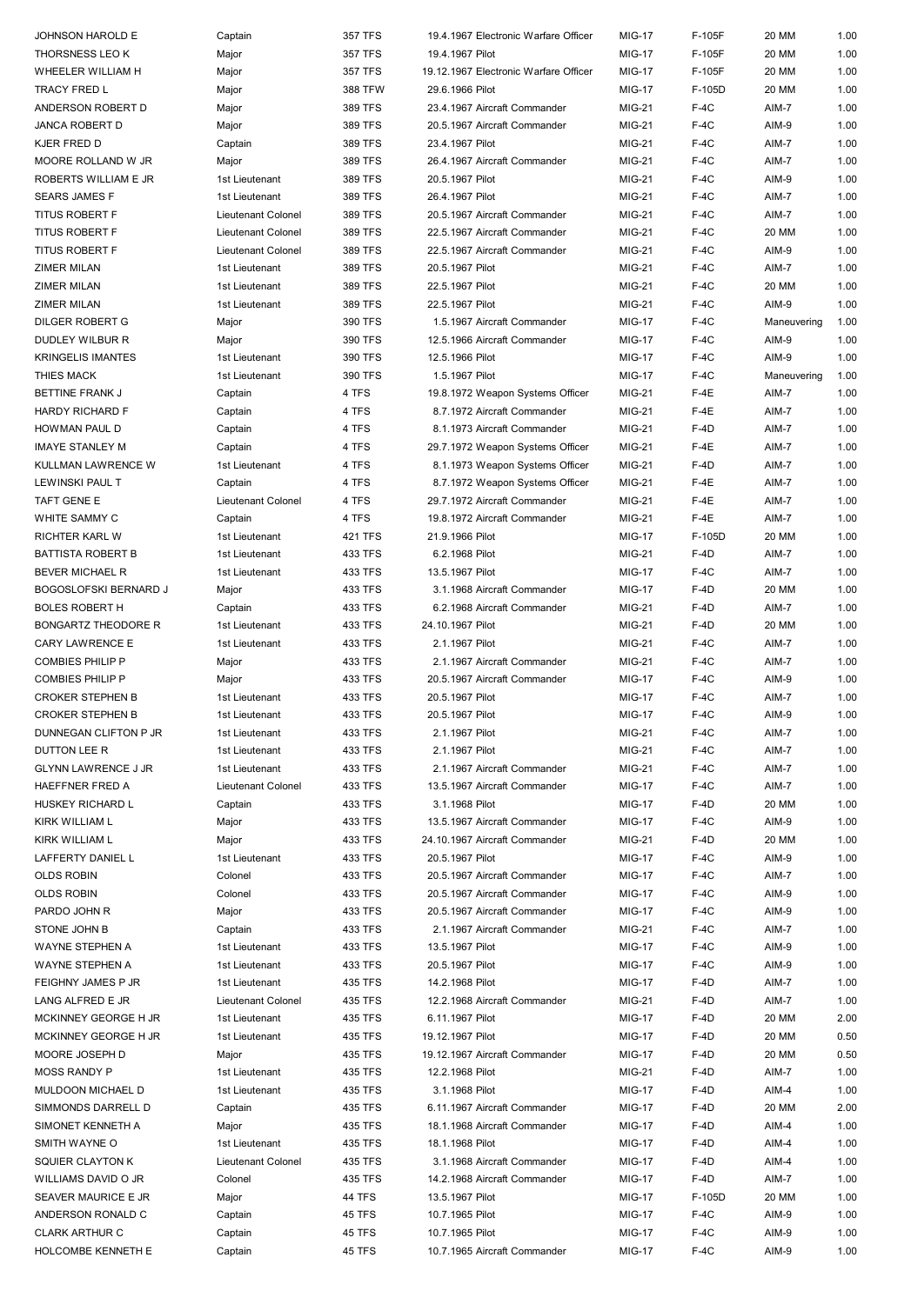| JOHNSON HAROLD E             | Captain            | 357 TFS        | 19.4.1967 Electronic Warfare Officer  | <b>MIG-17</b> | F-105F | 20 MM       | 1.00 |
|------------------------------|--------------------|----------------|---------------------------------------|---------------|--------|-------------|------|
| THORSNESS LEO K              | Major              | <b>357 TFS</b> | 19.4.1967 Pilot                       | <b>MIG-17</b> | F-105F | 20 MM       | 1.00 |
| WHEELER WILLIAM H            | Major              | 357 TFS        | 19.12.1967 Electronic Warfare Officer | <b>MIG-17</b> | F-105F | 20 MM       | 1.00 |
| TRACY FRED L                 | Major              | 388 TFW        | 29.6.1966 Pilot                       | <b>MIG-17</b> | F-105D | 20 MM       | 1.00 |
| ANDERSON ROBERT D            | Major              | 389 TFS        | 23.4.1967 Aircraft Commander          | MIG-21        | $F-4C$ | AIM-7       | 1.00 |
| <b>JANCA ROBERT D</b>        |                    |                |                                       |               |        |             |      |
|                              | Major              | 389 TFS        | 20.5.1967 Aircraft Commander          | MIG-21        | $F-4C$ | AIM-9       | 1.00 |
| KJER FRED D                  | Captain            | 389 TFS        | 23.4.1967 Pilot                       | <b>MIG-21</b> | $F-4C$ | AIM-7       | 1.00 |
| MOORE ROLLAND W JR           | Major              | 389 TFS        | 26.4.1967 Aircraft Commander          | <b>MIG-21</b> | $F-4C$ | AIM-7       | 1.00 |
| ROBERTS WILLIAM E JR         | 1st Lieutenant     | 389 TFS        | 20.5.1967 Pilot                       | MIG-21        | $F-4C$ | AIM-9       | 1.00 |
| <b>SEARS JAMES F</b>         | 1st Lieutenant     | 389 TFS        | 26.4.1967 Pilot                       | <b>MIG-21</b> | $F-4C$ | AIM-7       | 1.00 |
| <b>TITUS ROBERT F</b>        | Lieutenant Colonel | 389 TFS        | 20.5.1967 Aircraft Commander          | <b>MIG-21</b> | $F-4C$ | AIM-7       | 1.00 |
| <b>TITUS ROBERT F</b>        | Lieutenant Colonel | 389 TFS        | 22.5.1967 Aircraft Commander          | <b>MIG-21</b> | $F-4C$ | 20 MM       | 1.00 |
| <b>TITUS ROBERT F</b>        | Lieutenant Colonel | 389 TFS        | 22.5.1967 Aircraft Commander          | <b>MIG-21</b> | $F-4C$ | AIM-9       | 1.00 |
| ZIMER MILAN                  | 1st Lieutenant     | 389 TFS        | 20.5.1967 Pilot                       | <b>MIG-21</b> | $F-4C$ | AIM-7       | 1.00 |
| ZIMER MILAN                  | 1st Lieutenant     | 389 TFS        | 22.5.1967 Pilot                       | <b>MIG-21</b> | $F-4C$ | 20 MM       | 1.00 |
|                              |                    |                |                                       |               |        |             |      |
| ZIMER MILAN                  | 1st Lieutenant     | 389 TFS        | 22.5.1967 Pilot                       | <b>MIG-21</b> | $F-4C$ | AIM-9       | 1.00 |
| DILGER ROBERT G              | Major              | 390 TFS        | 1.5.1967 Aircraft Commander           | <b>MIG-17</b> | $F-4C$ | Maneuvering | 1.00 |
| DUDLEY WILBUR R              | Major              | 390 TFS        | 12.5.1966 Aircraft Commander          | <b>MIG-17</b> | $F-4C$ | AIM-9       | 1.00 |
| KRINGELIS IMANTES            | 1st Lieutenant     | 390 TFS        | 12.5.1966 Pilot                       | <b>MIG-17</b> | $F-4C$ | AIM-9       | 1.00 |
| THIES MACK                   | 1st Lieutenant     | 390 TFS        | 1.5.1967 Pilot                        | <b>MIG-17</b> | $F-4C$ | Maneuvering | 1.00 |
| BETTINE FRANK J              | Captain            | 4 TFS          | 19.8.1972 Weapon Systems Officer      | MIG-21        | $F-4E$ | AIM-7       | 1.00 |
| HARDY RICHARD F              | Captain            | 4 TFS          | 8.7.1972 Aircraft Commander           | MIG-21        | $F-4E$ | AIM-7       | 1.00 |
| HOWMAN PAUL D                | Captain            | 4 TFS          | 8.1.1973 Aircraft Commander           | <b>MIG-21</b> | $F-4D$ | AIM-7       | 1.00 |
| <b>IMAYE STANLEY M</b>       | Captain            | 4 TFS          | 29.7.1972 Weapon Systems Officer      | MIG-21        | $F-4E$ | AIM-7       | 1.00 |
| KULLMAN LAWRENCE W           | 1st Lieutenant     | 4 TFS          | 8.1.1973 Weapon Systems Officer       | <b>MIG-21</b> | $F-4D$ | AIM-7       | 1.00 |
|                              |                    |                |                                       |               |        |             |      |
| LEWINSKI PAUL T              | Captain            | 4 TFS          | 8.7.1972 Weapon Systems Officer       | <b>MIG-21</b> | $F-4E$ | AIM-7       | 1.00 |
| TAFT GENE E                  | Lieutenant Colonel | 4 TFS          | 29.7.1972 Aircraft Commander          | <b>MIG-21</b> | $F-4E$ | AIM-7       | 1.00 |
| WHITE SAMMY C                | Captain            | 4 TFS          | 19.8.1972 Aircraft Commander          | <b>MIG-21</b> | $F-4E$ | AIM-7       | 1.00 |
| RICHTER KARL W               | 1st Lieutenant     | 421 TFS        | 21.9.1966 Pilot                       | <b>MIG-17</b> | F-105D | 20 MM       | 1.00 |
| BATTISTA ROBERT B            | 1st Lieutenant     | 433 TFS        | 6.2.1968 Pilot                        | <b>MIG-21</b> | $F-4D$ | AIM-7       | 1.00 |
| BEVER MICHAEL R              | 1st Lieutenant     | 433 TFS        | 13.5.1967 Pilot                       | <b>MIG-17</b> | $F-4C$ | AIM-7       | 1.00 |
| <b>BOGOSLOFSKI BERNARD J</b> | Major              | 433 TFS        | 3.1.1968 Aircraft Commander           | <b>MIG-17</b> | $F-4D$ | 20 MM       | 1.00 |
| <b>BOLES ROBERT H</b>        | Captain            | 433 TFS        | 6.2.1968 Aircraft Commander           | <b>MIG-21</b> | F-4D   | AIM-7       | 1.00 |
| BONGARTZ THEODORE R          | 1st Lieutenant     | 433 TFS        | 24.10.1967 Pilot                      | MIG-21        | $F-4D$ | 20 MM       | 1.00 |
| CARY LAWRENCE E              | 1st Lieutenant     | 433 TFS        | 2.1.1967 Pilot                        | <b>MIG-21</b> | $F-4C$ | AIM-7       | 1.00 |
|                              |                    |                |                                       |               |        |             |      |
| COMBIES PHILIP P             | Major              | 433 TFS        | 2.1.1967 Aircraft Commander           | <b>MIG-21</b> | $F-4C$ | AIM-7       | 1.00 |
| COMBIES PHILIP P             | Major              | 433 TFS        | 20.5.1967 Aircraft Commander          | <b>MIG-17</b> | $F-4C$ | AIM-9       | 1.00 |
| CROKER STEPHEN B             | 1st Lieutenant     | 433 TFS        | 20.5.1967 Pilot                       | <b>MIG-17</b> | $F-4C$ | AIM-7       | 1.00 |
| <b>CROKER STEPHEN B</b>      | 1st Lieutenant     | 433 TFS        | 20.5.1967 Pilot                       | <b>MIG-17</b> | $F-4C$ | AIM-9       | 1.00 |
| DUNNEGAN CLIFTON P JR        | 1st Lieutenant     | 433 TFS        | 2.1.1967 Pilot                        | <b>MIG-21</b> | $F-4C$ | AIM-7       | 1.00 |
| DUTTON LEE R                 | 1st Lieutenant     | 433 TFS        | 2.1.1967 Pilot                        | <b>MIG-21</b> | $F-4C$ | AIM-7       | 1.00 |
| GLYNN LAWRENCE J JR          | 1st Lieutenant     | 433 TFS        | 2.1.1967 Aircraft Commander           | MIG-21        | $F-4C$ | AIM-7       | 1.00 |
| HAEFFNER FRED A              | Lieutenant Colonel | 433 TFS        | 13.5.1967 Aircraft Commander          | <b>MIG-17</b> | $F-4C$ | AIM-7       | 1.00 |
| HUSKEY RICHARD L             | Captain            | 433 TFS        | 3.1.1968 Pilot                        | <b>MIG-17</b> | F-4D   | 20 MM       | 1.00 |
| KIRK WILLIAM L               | Major              | 433 TFS        | 13.5.1967 Aircraft Commander          | <b>MIG-17</b> | $F-4C$ | AIM-9       | 1.00 |
| KIRK WILLIAM L               |                    |                |                                       |               |        |             |      |
|                              | Major              | 433 TFS        | 24.10.1967 Aircraft Commander         | MIG-21        | F-4D   | 20 MM       | 1.00 |
| LAFFERTY DANIEL L            | 1st Lieutenant     | 433 TFS        | 20.5.1967 Pilot                       | <b>MIG-17</b> | $F-4C$ | AIM-9       | 1.00 |
| <b>OLDS ROBIN</b>            | Colonel            | 433 TFS        | 20.5.1967 Aircraft Commander          | <b>MIG-17</b> | $F-4C$ | AIM-7       | 1.00 |
| <b>OLDS ROBIN</b>            | Colonel            | 433 TFS        | 20.5.1967 Aircraft Commander          | <b>MIG-17</b> | $F-4C$ | AIM-9       | 1.00 |
| PARDO JOHN R                 | Major              | 433 TFS        | 20.5.1967 Aircraft Commander          | <b>MIG-17</b> | $F-4C$ | AIM-9       | 1.00 |
| STONE JOHN B                 | Captain            | 433 TFS        | 2.1.1967 Aircraft Commander           | MIG-21        | $F-4C$ | AIM-7       | 1.00 |
| WAYNE STEPHEN A              | 1st Lieutenant     | 433 TFS        | 13.5.1967 Pilot                       | <b>MIG-17</b> | $F-4C$ | AIM-9       | 1.00 |
| WAYNE STEPHEN A              | 1st Lieutenant     | 433 TFS        | 20.5.1967 Pilot                       | <b>MIG-17</b> | $F-4C$ | AIM-9       | 1.00 |
| FEIGHNY JAMES P JR           | 1st Lieutenant     | 435 TFS        | 14.2.1968 Pilot                       | <b>MIG-17</b> | $F-4D$ | AIM-7       | 1.00 |
| LANG ALFRED E JR             | Lieutenant Colonel | 435 TFS        | 12.2.1968 Aircraft Commander          | MIG-21        | $F-4D$ | AIM-7       | 1.00 |
| MCKINNEY GEORGE H JR         | 1st Lieutenant     | 435 TFS        | 6.11.1967 Pilot                       | <b>MIG-17</b> | $F-4D$ | 20 MM       | 2.00 |
|                              |                    |                |                                       |               |        |             |      |
| MCKINNEY GEORGE H JR         | 1st Lieutenant     | 435 TFS        | 19.12.1967 Pilot                      | <b>MIG-17</b> | $F-4D$ | 20 MM       | 0.50 |
| MOORE JOSEPH D               | Major              | 435 TFS        | 19.12.1967 Aircraft Commander         | <b>MIG-17</b> | $F-4D$ | 20 MM       | 0.50 |
| MOSS RANDY P                 | 1st Lieutenant     | 435 TFS        | 12.2.1968 Pilot                       | MIG-21        | $F-4D$ | AIM-7       | 1.00 |
| MULDOON MICHAEL D            | 1st Lieutenant     | 435 TFS        | 3.1.1968 Pilot                        | <b>MIG-17</b> | $F-4D$ | AIM-4       | 1.00 |
| SIMMONDS DARRELL D           | Captain            | 435 TFS        | 6.11.1967 Aircraft Commander          | <b>MIG-17</b> | $F-4D$ | 20 MM       | 2.00 |
| SIMONET KENNETH A            | Major              | 435 TFS        | 18.1.1968 Aircraft Commander          | <b>MIG-17</b> | $F-4D$ | AIM-4       | 1.00 |
| SMITH WAYNE O                | 1st Lieutenant     | 435 TFS        | 18.1.1968 Pilot                       | <b>MIG-17</b> | $F-4D$ | AIM-4       | 1.00 |
| SQUIER CLAYTON K             | Lieutenant Colonel | 435 TFS        | 3.1.1968 Aircraft Commander           | <b>MIG-17</b> | F-4D   | AIM-4       | 1.00 |
| WILLIAMS DAVID O JR          | Colonel            | 435 TFS        | 14.2.1968 Aircraft Commander          | <b>MIG-17</b> | F-4D   | AIM-7       | 1.00 |
| SEAVER MAURICE E JR          | Major              | <b>44 TFS</b>  | 13.5.1967 Pilot                       | <b>MIG-17</b> | F-105D | 20 MM       | 1.00 |
|                              |                    |                |                                       |               |        |             |      |
| ANDERSON RONALD C            | Captain            | 45 TFS         | 10.7.1965 Pilot                       | <b>MIG-17</b> | $F-4C$ | AIM-9       | 1.00 |
| CLARK ARTHUR C               | Captain            | 45 TFS         | 10.7.1965 Pilot                       | <b>MIG-17</b> | $F-4C$ | AIM-9       | 1.00 |
| HOLCOMBE KENNETH E           | Captain            | 45 TFS         | 10.7.1965 Aircraft Commander          | <b>MIG-17</b> | $F-4C$ | AIM-9       | 1.00 |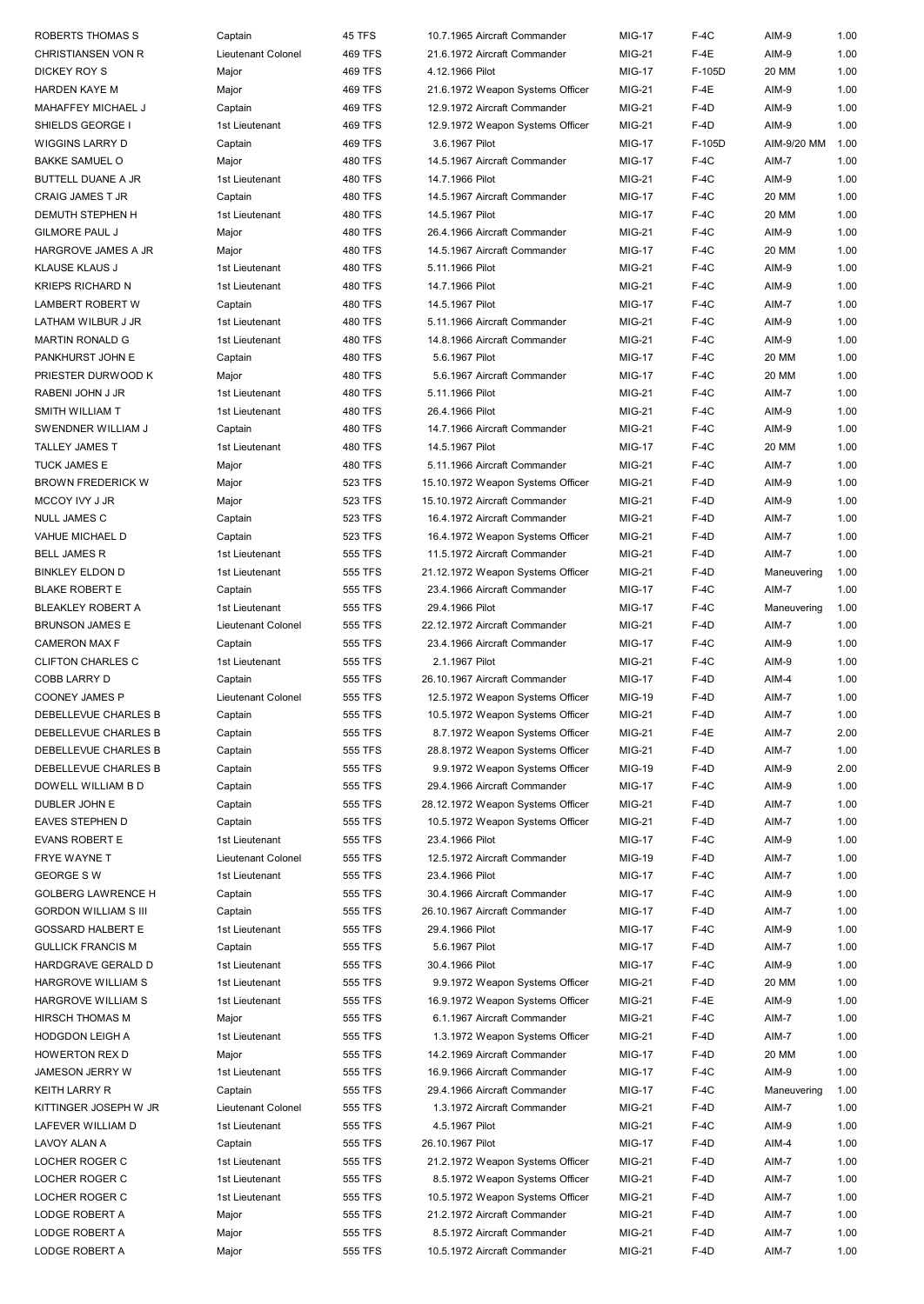| ROBERTS THOMAS S            | Captain            | 45 TFS         | 10.7.1965 Aircraft Commander      | <b>MIG-17</b> | $F-4C$ | AIM-9       | 1.00 |
|-----------------------------|--------------------|----------------|-----------------------------------|---------------|--------|-------------|------|
| CHRISTIANSEN VON R          | Lieutenant Colonel | 469 TFS        | 21.6.1972 Aircraft Commander      | <b>MIG-21</b> | $F-4E$ | AIM-9       | 1.00 |
| DICKEY ROY S                | Major              | 469 TFS        | 4.12.1966 Pilot                   | <b>MIG-17</b> | F-105D | 20 MM       | 1.00 |
| <b>HARDEN KAYE M</b>        | Major              | 469 TFS        | 21.6.1972 Weapon Systems Officer  | <b>MIG-21</b> | $F-4E$ | AIM-9       | 1.00 |
| MAHAFFEY MICHAEL J          | Captain            | 469 TFS        | 12.9.1972 Aircraft Commander      | <b>MIG-21</b> | $F-4D$ | AIM-9       | 1.00 |
|                             |                    |                |                                   |               |        |             |      |
| SHIELDS GEORGE I            | 1st Lieutenant     | 469 TFS        | 12.9.1972 Weapon Systems Officer  | <b>MIG-21</b> | $F-4D$ | AIM-9       | 1.00 |
| <b>WIGGINS LARRY D</b>      | Captain            | 469 TFS        | 3.6.1967 Pilot                    | <b>MIG-17</b> | F-105D | AIM-9/20 MM | 1.00 |
| <b>BAKKE SAMUEL O</b>       | Major              | 480 TFS        | 14.5.1967 Aircraft Commander      | <b>MIG-17</b> | $F-4C$ | AIM-7       | 1.00 |
| <b>BUTTELL DUANE A JR</b>   | 1st Lieutenant     | <b>480 TFS</b> | 14.7.1966 Pilot                   | <b>MIG-21</b> | $F-4C$ | AIM-9       | 1.00 |
| <b>CRAIG JAMES T JR</b>     | Captain            | 480 TFS        | 14.5.1967 Aircraft Commander      | <b>MIG-17</b> | $F-4C$ | 20 MM       | 1.00 |
|                             |                    |                |                                   |               |        |             |      |
| DEMUTH STEPHEN H            | 1st Lieutenant     | 480 TFS        | 14.5.1967 Pilot                   | <b>MIG-17</b> | $F-4C$ | 20 MM       | 1.00 |
| <b>GILMORE PAUL J</b>       | Major              | 480 TFS        | 26.4.1966 Aircraft Commander      | <b>MIG-21</b> | $F-4C$ | AIM-9       | 1.00 |
| HARGROVE JAMES A JR         | Major              | 480 TFS        | 14.5.1967 Aircraft Commander      | <b>MIG-17</b> | $F-4C$ | 20 MM       | 1.00 |
| KLAUSE KLAUS J              | 1st Lieutenant     | 480 TFS        | 5.11.1966 Pilot                   | <b>MIG-21</b> | $F-4C$ | AIM-9       | 1.00 |
| <b>KRIEPS RICHARD N</b>     | 1st Lieutenant     | 480 TFS        | 14.7.1966 Pilot                   | <b>MIG-21</b> | $F-4C$ | AIM-9       | 1.00 |
| <b>LAMBERT ROBERT W</b>     | Captain            | 480 TFS        | 14.5.1967 Pilot                   | <b>MIG-17</b> | $F-4C$ | AIM-7       | 1.00 |
|                             |                    |                |                                   |               |        |             |      |
| LATHAM WILBUR J JR          | 1st Lieutenant     | 480 TFS        | 5.11.1966 Aircraft Commander      | <b>MIG-21</b> | $F-4C$ | AIM-9       | 1.00 |
| <b>MARTIN RONALD G</b>      | 1st Lieutenant     | 480 TFS        | 14.8.1966 Aircraft Commander      | <b>MIG-21</b> | $F-4C$ | AIM-9       | 1.00 |
| PANKHURST JOHN E            | Captain            | 480 TFS        | 5.6.1967 Pilot                    | <b>MIG-17</b> | $F-4C$ | 20 MM       | 1.00 |
| PRIESTER DURWOOD K          | Major              | 480 TFS        | 5.6.1967 Aircraft Commander       | <b>MIG-17</b> | $F-4C$ | 20 MM       | 1.00 |
| RABENI JOHN J JR            | 1st Lieutenant     | 480 TFS        | 5.11.1966 Pilot                   | <b>MIG-21</b> | $F-4C$ | AIM-7       | 1.00 |
| SMITH WILLIAM T             | 1st Lieutenant     | 480 TFS        | 26.4.1966 Pilot                   | <b>MIG-21</b> | $F-4C$ | AIM-9       | 1.00 |
|                             |                    |                |                                   |               |        |             |      |
| SWENDNER WILLIAM J          | Captain            | 480 TFS        | 14.7.1966 Aircraft Commander      | <b>MIG-21</b> | $F-4C$ | AIM-9       | 1.00 |
| TALLEY JAMES T              | 1st Lieutenant     | 480 TFS        | 14.5.1967 Pilot                   | <b>MIG-17</b> | $F-4C$ | 20 MM       | 1.00 |
| <b>TUCK JAMES E</b>         | Major              | 480 TFS        | 5.11.1966 Aircraft Commander      | <b>MIG-21</b> | $F-4C$ | AIM-7       | 1.00 |
| <b>BROWN FREDERICK W</b>    | Major              | 523 TFS        | 15.10.1972 Weapon Systems Officer | <b>MIG-21</b> | $F-4D$ | AIM-9       | 1.00 |
| MCCOY IVY J JR              | Major              | 523 TFS        | 15.10.1972 Aircraft Commander     | <b>MIG-21</b> | $F-4D$ | AIM-9       | 1.00 |
|                             |                    |                |                                   |               |        |             |      |
| <b>NULL JAMES C</b>         | Captain            | 523 TFS        | 16.4.1972 Aircraft Commander      | <b>MIG-21</b> | $F-4D$ | AIM-7       | 1.00 |
| VAHUE MICHAEL D             | Captain            | 523 TFS        | 16.4.1972 Weapon Systems Officer  | <b>MIG-21</b> | $F-4D$ | AIM-7       | 1.00 |
| <b>BELL JAMES R</b>         | 1st Lieutenant     | 555 TFS        | 11.5.1972 Aircraft Commander      | <b>MIG-21</b> | $F-4D$ | AIM-7       | 1.00 |
| <b>BINKLEY ELDON D</b>      | 1st Lieutenant     | 555 TFS        | 21.12.1972 Weapon Systems Officer | MIG-21        | $F-4D$ | Maneuvering | 1.00 |
| <b>BLAKE ROBERT E</b>       | Captain            | 555 TFS        | 23.4.1966 Aircraft Commander      | <b>MIG-17</b> | $F-4C$ | AIM-7       | 1.00 |
| <b>BLEAKLEY ROBERT A</b>    | 1st Lieutenant     | 555 TFS        | 29.4.1966 Pilot                   | <b>MIG-17</b> | $F-4C$ | Maneuvering | 1.00 |
|                             |                    |                |                                   |               |        |             |      |
| <b>BRUNSON JAMES E</b>      | Lieutenant Colonel | 555 TFS        | 22.12.1972 Aircraft Commander     | MIG-21        | $F-4D$ | AIM-7       | 1.00 |
| <b>CAMERON MAX F</b>        | Captain            | 555 TFS        | 23.4.1966 Aircraft Commander      | <b>MIG-17</b> | $F-4C$ | AIM-9       | 1.00 |
| <b>CLIFTON CHARLES C</b>    | 1st Lieutenant     | 555 TFS        | 2.1.1967 Pilot                    | <b>MIG-21</b> | $F-4C$ | AIM-9       | 1.00 |
| <b>COBB LARRY D</b>         | Captain            | 555 TFS        | 26.10.1967 Aircraft Commander     | <b>MIG-17</b> | $F-4D$ | AIM-4       | 1.00 |
| <b>COONEY JAMES P</b>       | Lieutenant Colonel | 555 TFS        | 12.5.1972 Weapon Systems Officer  | <b>MIG-19</b> | $F-4D$ | AIM-7       | 1.00 |
|                             |                    |                |                                   |               |        |             |      |
| DEBELLEVUE CHARLES B        | Captain            | <b>555 TFS</b> | 10.5.1972 Weapon Systems Officer  | MIG-21        | $F-4D$ | AIM-7       | 1.00 |
| DEBELLEVUE CHARLES B        | Captain            | 555 TFS        | 8.7.1972 Weapon Systems Officer   | <b>MIG-21</b> | $F-4E$ | AIM-7       | 2.00 |
| DEBELLEVUE CHARLES B        | Captain            | 555 TFS        | 28.8.1972 Weapon Systems Officer  | <b>MIG-21</b> | $F-4D$ | AIM-7       | 1.00 |
| DEBELLEVUE CHARLES B        | Captain            | 555 TFS        | 9.9.1972 Weapon Systems Officer   | <b>MIG-19</b> | $F-4D$ | AIM-9       | 2.00 |
| DOWELL WILLIAM B D          | Captain            | 555 TFS        | 29.4.1966 Aircraft Commander      | <b>MIG-17</b> | $F-4C$ | AIM-9       | 1.00 |
| DUBLER JOHN E               | Captain            | 555 TFS        | 28.12.1972 Weapon Systems Officer | <b>MIG-21</b> | $F-4D$ | AIM-7       | 1.00 |
|                             |                    |                |                                   |               |        |             |      |
| <b>EAVES STEPHEN D</b>      | Captain            | 555 TFS        | 10.5.1972 Weapon Systems Officer  | <b>MIG-21</b> | $F-4D$ | AIM-7       | 1.00 |
| <b>EVANS ROBERT E</b>       | 1st Lieutenant     | 555 TFS        | 23.4.1966 Pilot                   | <b>MIG-17</b> | $F-4C$ | AIM-9       | 1.00 |
| <b>FRYE WAYNE T</b>         | Lieutenant Colonel | 555 TFS        | 12.5.1972 Aircraft Commander      | <b>MIG-19</b> | $F-4D$ | AIM-7       | 1.00 |
| <b>GEORGE SW</b>            | 1st Lieutenant     | 555 TFS        | 23.4.1966 Pilot                   | <b>MIG-17</b> | $F-4C$ | AIM-7       | 1.00 |
| <b>GOLBERG LAWRENCE H</b>   | Captain            | 555 TFS        | 30.4.1966 Aircraft Commander      | <b>MIG-17</b> | $F-4C$ | AIM-9       | 1.00 |
|                             |                    |                | 26.10.1967 Aircraft Commander     |               | $F-4D$ |             | 1.00 |
| <b>GORDON WILLIAM S III</b> | Captain            | 555 TFS        |                                   | <b>MIG-17</b> |        | AIM-7       |      |
| <b>GOSSARD HALBERT E</b>    | 1st Lieutenant     | 555 TFS        | 29.4.1966 Pilot                   | <b>MIG-17</b> | $F-4C$ | AIM-9       | 1.00 |
| <b>GULLICK FRANCIS M</b>    | Captain            | 555 TFS        | 5.6.1967 Pilot                    | <b>MIG-17</b> | $F-4D$ | AIM-7       | 1.00 |
| HARDGRAVE GERALD D          | 1st Lieutenant     | 555 TFS        | 30.4.1966 Pilot                   | <b>MIG-17</b> | $F-4C$ | AIM-9       | 1.00 |
| HARGROVE WILLIAM S          | 1st Lieutenant     | 555 TFS        | 9.9.1972 Weapon Systems Officer   | <b>MIG-21</b> | $F-4D$ | 20 MM       | 1.00 |
| HARGROVE WILLIAM S          | 1st Lieutenant     | 555 TFS        | 16.9.1972 Weapon Systems Officer  | <b>MIG-21</b> | $F-4E$ | AIM-9       | 1.00 |
|                             |                    |                |                                   |               |        |             |      |
| HIRSCH THOMAS M             | Major              | 555 TFS        | 6.1.1967 Aircraft Commander       | <b>MIG-21</b> | $F-4C$ | AIM-7       | 1.00 |
| <b>HODGDON LEIGH A</b>      | 1st Lieutenant     | 555 TFS        | 1.3.1972 Weapon Systems Officer   | <b>MIG-21</b> | $F-4D$ | AIM-7       | 1.00 |
| <b>HOWERTON REX D</b>       | Major              | 555 TFS        | 14.2.1969 Aircraft Commander      | <b>MIG-17</b> | $F-4D$ | 20 MM       | 1.00 |
| JAMESON JERRY W             | 1st Lieutenant     | 555 TFS        | 16.9.1966 Aircraft Commander      | <b>MIG-17</b> | $F-4C$ | AIM-9       | 1.00 |
| <b>KEITH LARRY R</b>        | Captain            | 555 TFS        | 29.4.1966 Aircraft Commander      | <b>MIG-17</b> | $F-4C$ | Maneuvering | 1.00 |
| KITTINGER JOSEPH W JR       | Lieutenant Colonel | 555 TFS        | 1.3.1972 Aircraft Commander       | <b>MIG-21</b> | $F-4D$ | AIM-7       | 1.00 |
|                             |                    |                |                                   |               |        |             |      |
| LAFEVER WILLIAM D           | 1st Lieutenant     | 555 TFS        | 4.5.1967 Pilot                    | <b>MIG-21</b> | $F-4C$ | AIM-9       | 1.00 |
| LAVOY ALAN A                | Captain            | 555 TFS        | 26.10.1967 Pilot                  | <b>MIG-17</b> | $F-4D$ | AIM-4       | 1.00 |
| LOCHER ROGER C              | 1st Lieutenant     | 555 TFS        | 21.2.1972 Weapon Systems Officer  | <b>MIG-21</b> | $F-4D$ | AIM-7       | 1.00 |
| LOCHER ROGER C              | 1st Lieutenant     | 555 TFS        | 8.5.1972 Weapon Systems Officer   | <b>MIG-21</b> | $F-4D$ | AIM-7       | 1.00 |
| LOCHER ROGER C              | 1st Lieutenant     | 555 TFS        | 10.5.1972 Weapon Systems Officer  | <b>MIG-21</b> | $F-4D$ | AIM-7       | 1.00 |
| LODGE ROBERT A              | Major              | 555 TFS        | 21.2.1972 Aircraft Commander      | <b>MIG-21</b> | $F-4D$ | AIM-7       | 1.00 |
|                             |                    |                |                                   |               |        |             |      |
| LODGE ROBERT A              | Major              | 555 TFS        | 8.5.1972 Aircraft Commander       | <b>MIG-21</b> | $F-4D$ | AIM-7       | 1.00 |
| LODGE ROBERT A              | Major              | 555 TFS        | 10.5.1972 Aircraft Commander      | <b>MIG-21</b> | $F-4D$ | AIM-7       | 1.00 |